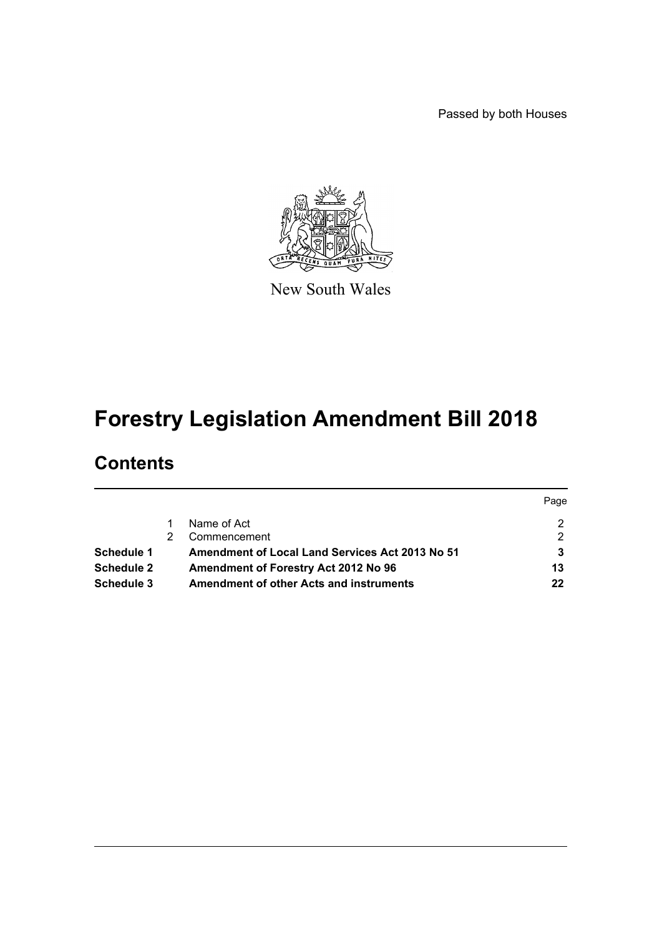Passed by both Houses



New South Wales

# **Forestry Legislation Amendment Bill 2018**

# **Contents**

|            |                                                        | Page |
|------------|--------------------------------------------------------|------|
|            | Name of Act                                            |      |
|            | Commencement                                           | 2    |
| Schedule 1 | <b>Amendment of Local Land Services Act 2013 No 51</b> |      |
| Schedule 2 | Amendment of Forestry Act 2012 No 96                   | 13   |
| Schedule 3 | <b>Amendment of other Acts and instruments</b>         | 22   |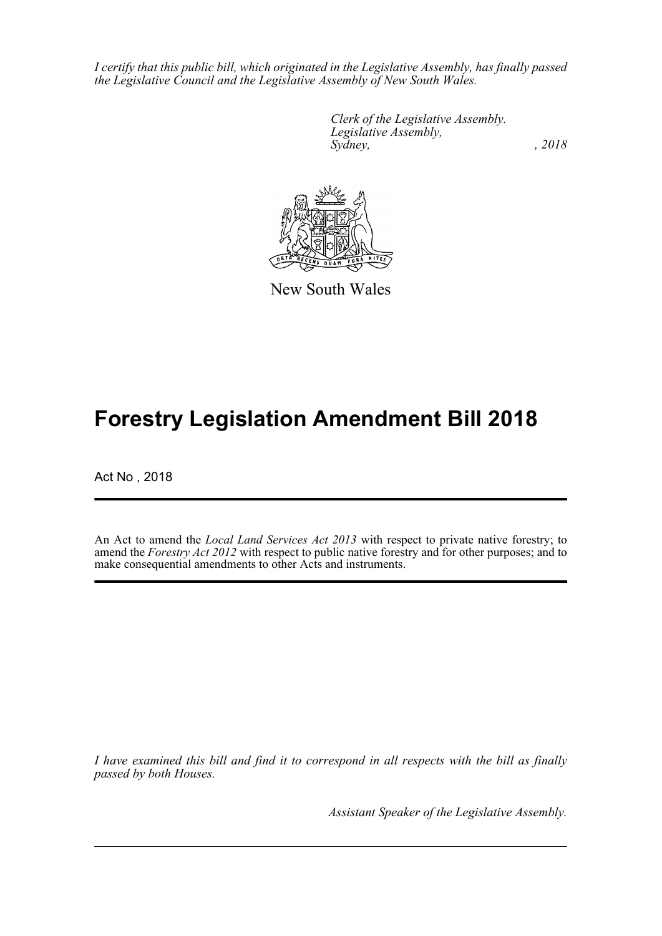*I certify that this public bill, which originated in the Legislative Assembly, has finally passed the Legislative Council and the Legislative Assembly of New South Wales.*

> *Clerk of the Legislative Assembly. Legislative Assembly, Sydney, , 2018*



New South Wales

# **Forestry Legislation Amendment Bill 2018**

Act No , 2018

An Act to amend the *Local Land Services Act 2013* with respect to private native forestry; to amend the *Forestry Act 2012* with respect to public native forestry and for other purposes; and to make consequential amendments to other Acts and instruments.

*I have examined this bill and find it to correspond in all respects with the bill as finally passed by both Houses.*

*Assistant Speaker of the Legislative Assembly.*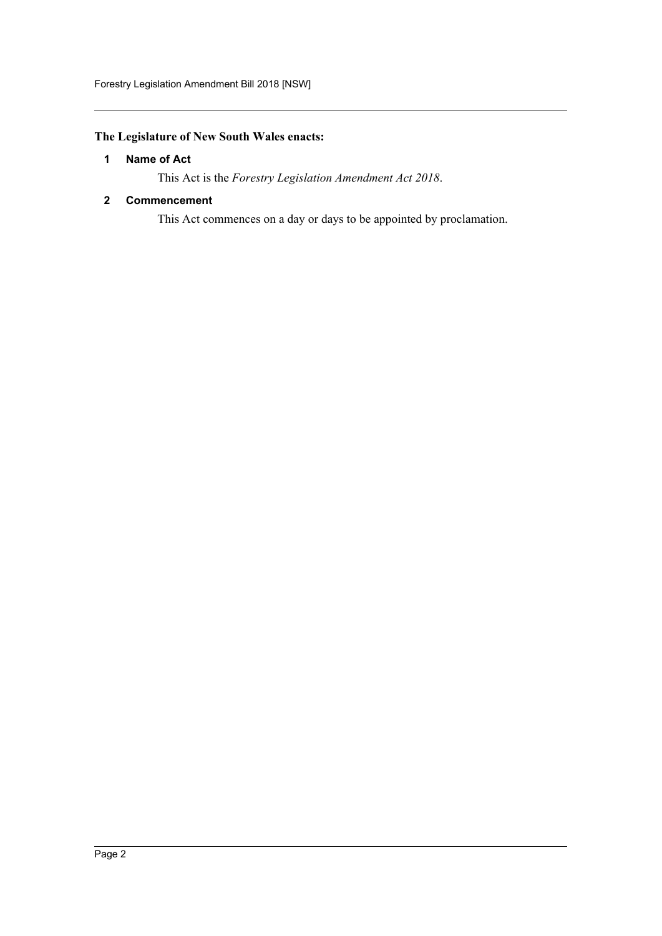# <span id="page-2-0"></span>**The Legislature of New South Wales enacts:**

## **1 Name of Act**

This Act is the *Forestry Legislation Amendment Act 2018*.

## <span id="page-2-1"></span>**2 Commencement**

This Act commences on a day or days to be appointed by proclamation.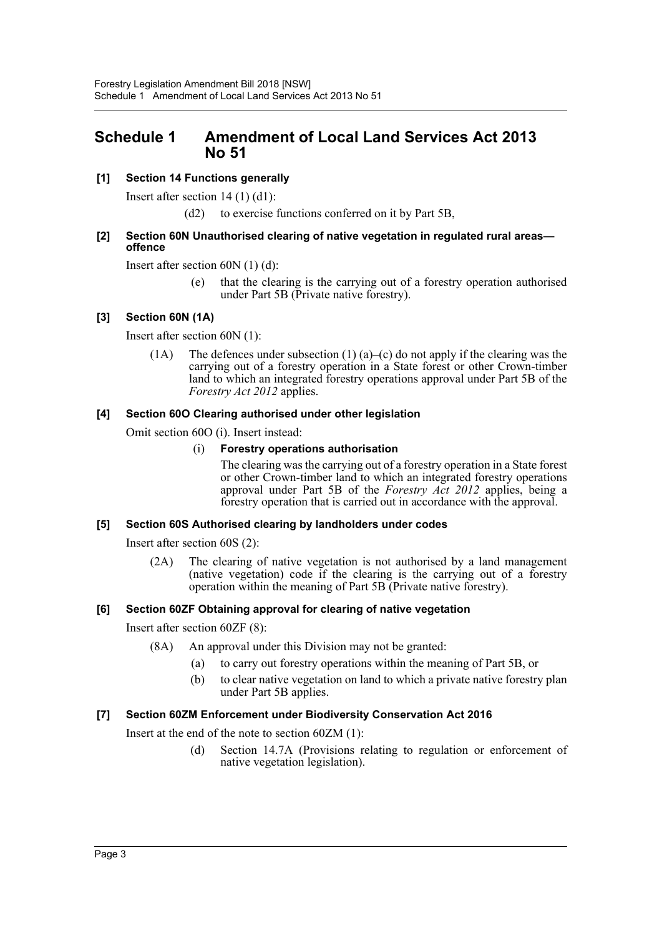# <span id="page-3-0"></span>**Schedule 1 Amendment of Local Land Services Act 2013 No 51**

## **[1] Section 14 Functions generally**

Insert after section 14 (1) (d1):

(d2) to exercise functions conferred on it by Part 5B,

## **[2] Section 60N Unauthorised clearing of native vegetation in regulated rural areas offence**

Insert after section 60N (1) (d):

(e) that the clearing is the carrying out of a forestry operation authorised under Part 5B (Private native forestry).

## **[3] Section 60N (1A)**

Insert after section 60N (1):

(1A) The defences under subsection (1) (a)–(c) do not apply if the clearing was the carrying out of a forestry operation in a State forest or other Crown-timber land to which an integrated forestry operations approval under Part 5B of the *Forestry Act 2012* applies.

## **[4] Section 60O Clearing authorised under other legislation**

Omit section 60O (i). Insert instead:

## (i) **Forestry operations authorisation**

The clearing was the carrying out of a forestry operation in a State forest or other Crown-timber land to which an integrated forestry operations approval under Part 5B of the *Forestry Act 2012* applies, being a forestry operation that is carried out in accordance with the approval.

## **[5] Section 60S Authorised clearing by landholders under codes**

Insert after section 60S (2):

(2A) The clearing of native vegetation is not authorised by a land management (native vegetation) code if the clearing is the carrying out of a forestry operation within the meaning of Part 5B (Private native forestry).

## **[6] Section 60ZF Obtaining approval for clearing of native vegetation**

Insert after section 60ZF (8):

- (8A) An approval under this Division may not be granted:
	- (a) to carry out forestry operations within the meaning of Part 5B, or
	- (b) to clear native vegetation on land to which a private native forestry plan under Part 5B applies.

## **[7] Section 60ZM Enforcement under Biodiversity Conservation Act 2016**

Insert at the end of the note to section 60ZM (1):

(d) Section 14.7A (Provisions relating to regulation or enforcement of native vegetation legislation).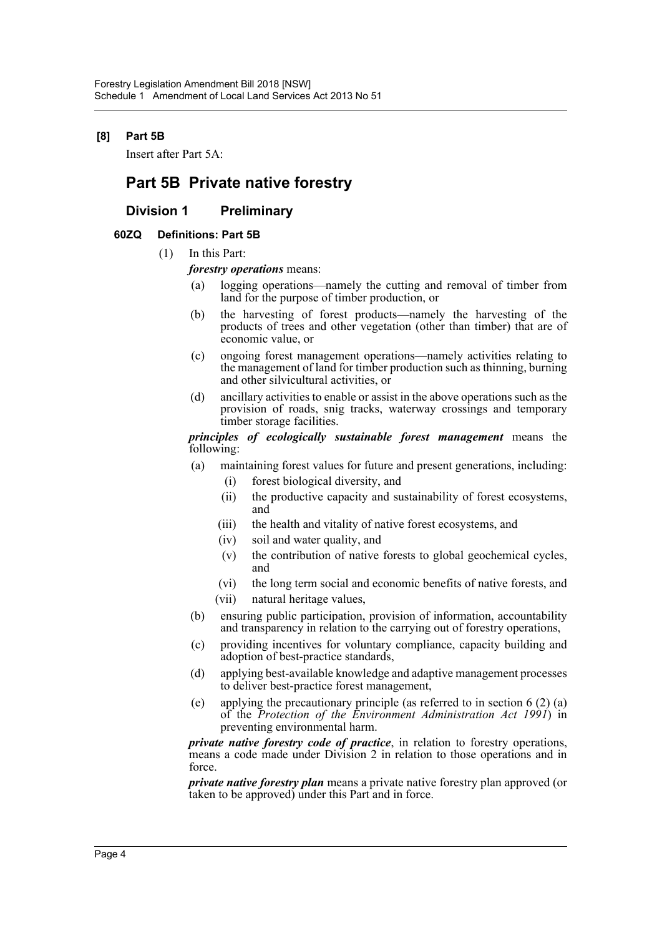## **[8] Part 5B**

Insert after Part 5A:

# **Part 5B Private native forestry**

## **Division 1 Preliminary**

## **60ZQ Definitions: Part 5B**

- (1) In this Part:
	- *forestry operations* means:
		- (a) logging operations—namely the cutting and removal of timber from land for the purpose of timber production, or
		- (b) the harvesting of forest products—namely the harvesting of the products of trees and other vegetation (other than timber) that are of economic value, or
		- (c) ongoing forest management operations—namely activities relating to the management of land for timber production such as thinning, burning and other silvicultural activities, or
		- (d) ancillary activities to enable or assist in the above operations such as the provision of roads, snig tracks, waterway crossings and temporary timber storage facilities.

*principles of ecologically sustainable forest management* means the following:

- (a) maintaining forest values for future and present generations, including: (i) forest biological diversity, and
	- (ii) the productive capacity and sustainability of forest ecosystems, and
	- (iii) the health and vitality of native forest ecosystems, and
	- (iv) soil and water quality, and
	- (v) the contribution of native forests to global geochemical cycles, and
	- (vi) the long term social and economic benefits of native forests, and
	- (vii) natural heritage values,
- (b) ensuring public participation, provision of information, accountability and transparency in relation to the carrying out of forestry operations,
- (c) providing incentives for voluntary compliance, capacity building and adoption of best-practice standards,
- (d) applying best-available knowledge and adaptive management processes to deliver best-practice forest management,
- (e) applying the precautionary principle (as referred to in section 6 (2) (a) of the *Protection of the Environment Administration Act 1991*) in preventing environmental harm.

*private native forestry code of practice*, in relation to forestry operations, means a code made under Division 2 in relation to those operations and in force.

*private native forestry plan* means a private native forestry plan approved (or taken to be approved) under this Part and in force.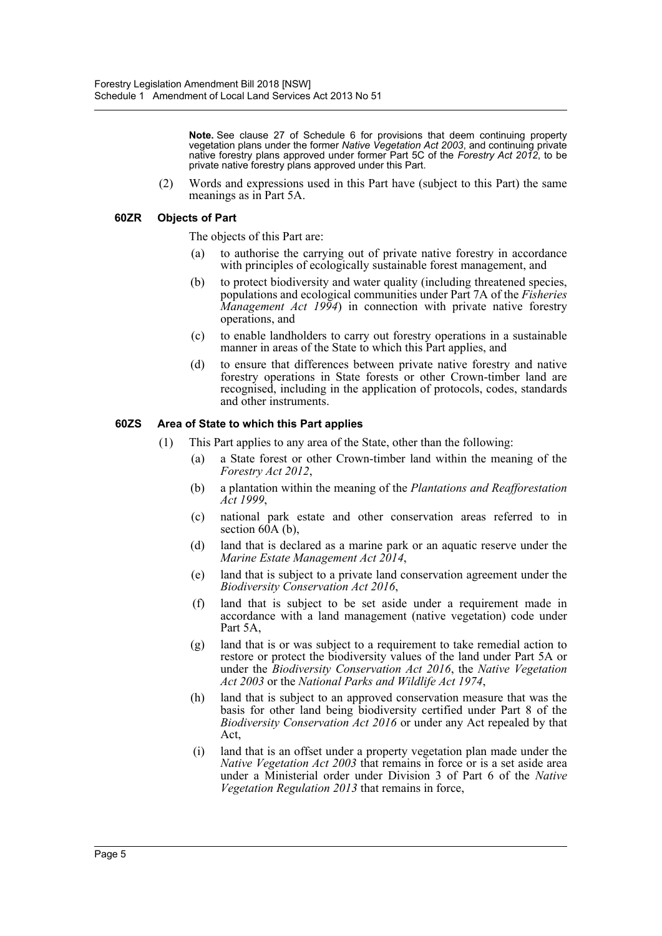**Note.** See clause 27 of Schedule 6 for provisions that deem continuing property vegetation plans under the former *Native Vegetation Act 2003*, and continuing private native forestry plans approved under former Part 5C of the *Forestry Act 2012*, to be private native forestry plans approved under this Part.

(2) Words and expressions used in this Part have (subject to this Part) the same meanings as in Part 5A.

## **60ZR Objects of Part**

The objects of this Part are:

- (a) to authorise the carrying out of private native forestry in accordance with principles of ecologically sustainable forest management, and
- (b) to protect biodiversity and water quality (including threatened species, populations and ecological communities under Part 7A of the *Fisheries Management Act 1994*) in connection with private native forestry operations, and
- (c) to enable landholders to carry out forestry operations in a sustainable manner in areas of the State to which this Part applies, and
- (d) to ensure that differences between private native forestry and native forestry operations in State forests or other Crown-timber land are recognised, including in the application of protocols, codes, standards and other instruments.

## **60ZS Area of State to which this Part applies**

- (1) This Part applies to any area of the State, other than the following:
	- (a) a State forest or other Crown-timber land within the meaning of the *Forestry Act 2012*,
	- (b) a plantation within the meaning of the *Plantations and Reafforestation Act 1999*,
	- (c) national park estate and other conservation areas referred to in section  $60A$  (b),
	- (d) land that is declared as a marine park or an aquatic reserve under the *Marine Estate Management Act 2014*,
	- (e) land that is subject to a private land conservation agreement under the *Biodiversity Conservation Act 2016*,
	- (f) land that is subject to be set aside under a requirement made in accordance with a land management (native vegetation) code under Part 5A,
	- (g) land that is or was subject to a requirement to take remedial action to restore or protect the biodiversity values of the land under Part 5A or under the *Biodiversity Conservation Act 2016*, the *Native Vegetation Act 2003* or the *National Parks and Wildlife Act 1974*,
	- (h) land that is subject to an approved conservation measure that was the basis for other land being biodiversity certified under Part 8 of the *Biodiversity Conservation Act 2016* or under any Act repealed by that Act,
	- (i) land that is an offset under a property vegetation plan made under the *Native Vegetation Act 2003* that remains in force or is a set aside area under a Ministerial order under Division 3 of Part 6 of the *Native Vegetation Regulation 2013* that remains in force,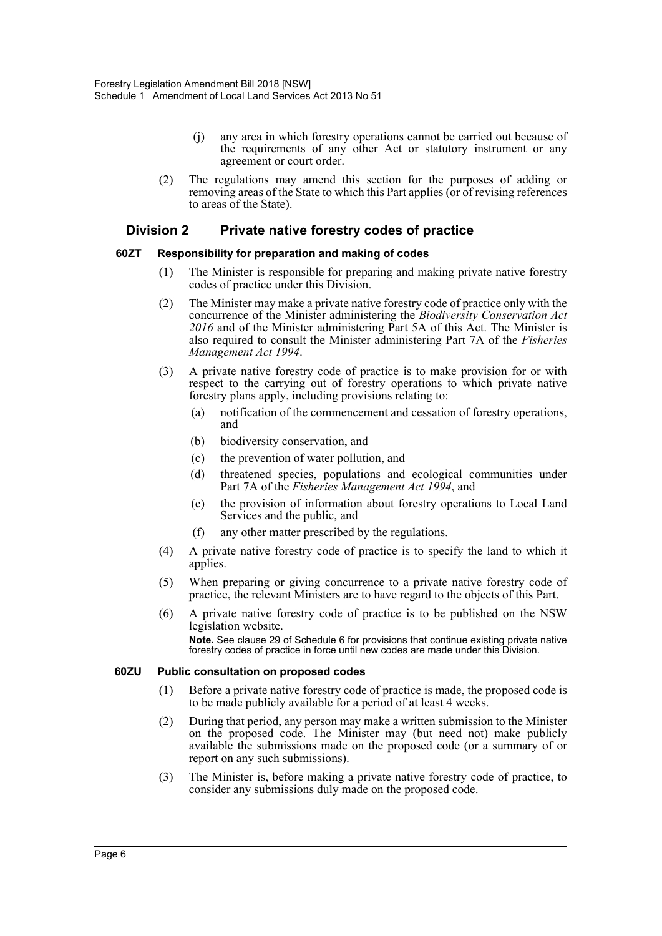- (j) any area in which forestry operations cannot be carried out because of the requirements of any other Act or statutory instrument or any agreement or court order.
- (2) The regulations may amend this section for the purposes of adding or removing areas of the State to which this Part applies (or of revising references to areas of the State).

## **Division 2 Private native forestry codes of practice**

## **60ZT Responsibility for preparation and making of codes**

- (1) The Minister is responsible for preparing and making private native forestry codes of practice under this Division.
- (2) The Minister may make a private native forestry code of practice only with the concurrence of the Minister administering the *Biodiversity Conservation Act 2016* and of the Minister administering Part 5A of this Act. The Minister is also required to consult the Minister administering Part 7A of the *Fisheries Management Act 1994*.
- (3) A private native forestry code of practice is to make provision for or with respect to the carrying out of forestry operations to which private native forestry plans apply, including provisions relating to:
	- (a) notification of the commencement and cessation of forestry operations, and
	- (b) biodiversity conservation, and
	- (c) the prevention of water pollution, and
	- (d) threatened species, populations and ecological communities under Part 7A of the *Fisheries Management Act 1994*, and
	- (e) the provision of information about forestry operations to Local Land Services and the public, and
	- (f) any other matter prescribed by the regulations.
- (4) A private native forestry code of practice is to specify the land to which it applies.
- (5) When preparing or giving concurrence to a private native forestry code of practice, the relevant Ministers are to have regard to the objects of this Part.
- (6) A private native forestry code of practice is to be published on the NSW legislation website. **Note.** See clause 29 of Schedule 6 for provisions that continue existing private native forestry codes of practice in force until new codes are made under this Division.

## **60ZU Public consultation on proposed codes**

- (1) Before a private native forestry code of practice is made, the proposed code is to be made publicly available for a period of at least 4 weeks.
- (2) During that period, any person may make a written submission to the Minister on the proposed code. The Minister may (but need not) make publicly available the submissions made on the proposed code (or a summary of or report on any such submissions).
- (3) The Minister is, before making a private native forestry code of practice, to consider any submissions duly made on the proposed code.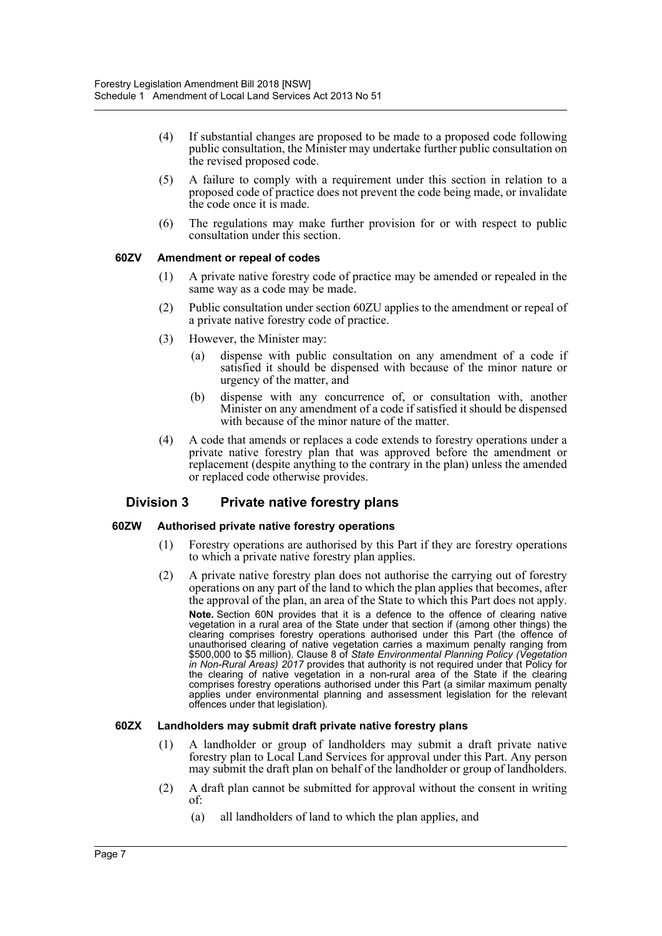- (4) If substantial changes are proposed to be made to a proposed code following public consultation, the Minister may undertake further public consultation on the revised proposed code.
- (5) A failure to comply with a requirement under this section in relation to a proposed code of practice does not prevent the code being made, or invalidate the code once it is made.
- (6) The regulations may make further provision for or with respect to public consultation under this section.

## **60ZV Amendment or repeal of codes**

- (1) A private native forestry code of practice may be amended or repealed in the same way as a code may be made.
- (2) Public consultation under section 60ZU applies to the amendment or repeal of a private native forestry code of practice.
- (3) However, the Minister may:
	- (a) dispense with public consultation on any amendment of a code if satisfied it should be dispensed with because of the minor nature or urgency of the matter, and
	- (b) dispense with any concurrence of, or consultation with, another Minister on any amendment of a code if satisfied it should be dispensed with because of the minor nature of the matter.
- (4) A code that amends or replaces a code extends to forestry operations under a private native forestry plan that was approved before the amendment or replacement (despite anything to the contrary in the plan) unless the amended or replaced code otherwise provides.

## **Division 3 Private native forestry plans**

## **60ZW Authorised private native forestry operations**

- (1) Forestry operations are authorised by this Part if they are forestry operations to which a private native forestry plan applies.
- (2) A private native forestry plan does not authorise the carrying out of forestry operations on any part of the land to which the plan applies that becomes, after the approval of the plan, an area of the State to which this Part does not apply. **Note.** Section 60N provides that it is a defence to the offence of clearing native vegetation in a rural area of the State under that section if (among other things) the clearing comprises forestry operations authorised under this Part (the offence of unauthorised clearing of native vegetation carries a maximum penalty ranging from \$500,000 to \$5 million). Clause 8 of *State Environmental Planning Policy (Vegetation in Non-Rural Areas) 2017* provides that authority is not required under that Policy for the clearing of native vegetation in a non-rural area of the State if the clearing comprises forestry operations authorised under this Part (a similar maximum penalty applies under environmental planning and assessment legislation for the relevant offences under that legislation).

## **60ZX Landholders may submit draft private native forestry plans**

- (1) A landholder or group of landholders may submit a draft private native forestry plan to Local Land Services for approval under this Part. Any person may submit the draft plan on behalf of the landholder or group of landholders.
- (2) A draft plan cannot be submitted for approval without the consent in writing of:
	- (a) all landholders of land to which the plan applies, and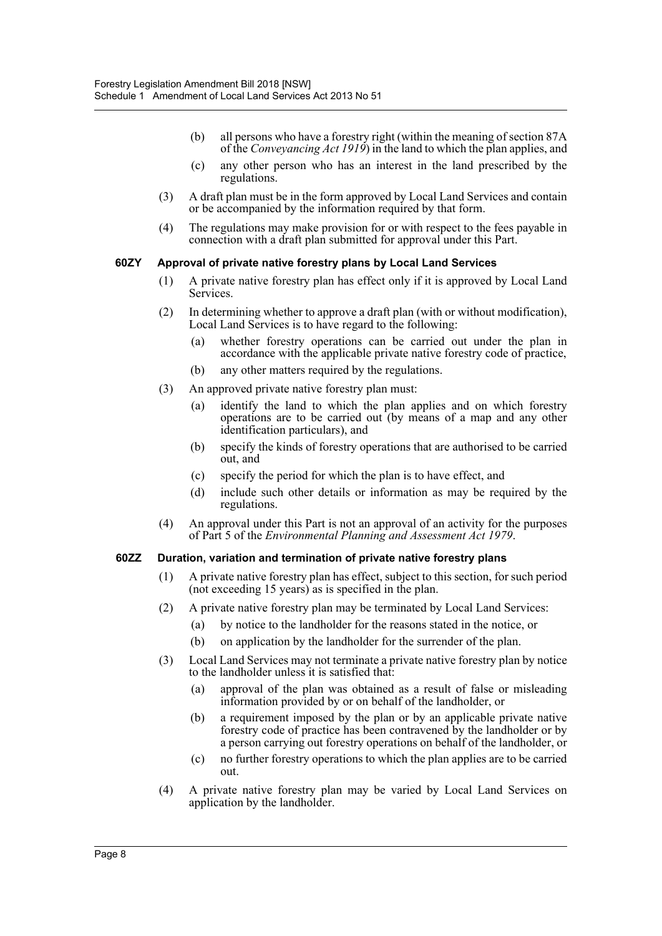- (b) all persons who have a forestry right (within the meaning of section 87A of the *Conveyancing Act 1919*) in the land to which the plan applies, and
- (c) any other person who has an interest in the land prescribed by the regulations.
- (3) A draft plan must be in the form approved by Local Land Services and contain or be accompanied by the information required by that form.
- (4) The regulations may make provision for or with respect to the fees payable in connection with a draft plan submitted for approval under this Part.

## **60ZY Approval of private native forestry plans by Local Land Services**

- (1) A private native forestry plan has effect only if it is approved by Local Land Services.
- (2) In determining whether to approve a draft plan (with or without modification), Local Land Services is to have regard to the following:
	- (a) whether forestry operations can be carried out under the plan in accordance with the applicable private native forestry code of practice,
	- (b) any other matters required by the regulations.
- (3) An approved private native forestry plan must:
	- (a) identify the land to which the plan applies and on which forestry operations are to be carried out (by means of a map and any other identification particulars), and
	- (b) specify the kinds of forestry operations that are authorised to be carried out, and
	- (c) specify the period for which the plan is to have effect, and
	- (d) include such other details or information as may be required by the regulations.
- (4) An approval under this Part is not an approval of an activity for the purposes of Part 5 of the *Environmental Planning and Assessment Act 1979*.

## **60ZZ Duration, variation and termination of private native forestry plans**

- (1) A private native forestry plan has effect, subject to this section, for such period (not exceeding 15 years) as is specified in the plan.
- (2) A private native forestry plan may be terminated by Local Land Services:
	- (a) by notice to the landholder for the reasons stated in the notice, or
	- (b) on application by the landholder for the surrender of the plan.
- (3) Local Land Services may not terminate a private native forestry plan by notice to the landholder unless it is satisfied that:
	- (a) approval of the plan was obtained as a result of false or misleading information provided by or on behalf of the landholder, or
	- (b) a requirement imposed by the plan or by an applicable private native forestry code of practice has been contravened by the landholder or by a person carrying out forestry operations on behalf of the landholder, or
	- (c) no further forestry operations to which the plan applies are to be carried out.
- (4) A private native forestry plan may be varied by Local Land Services on application by the landholder.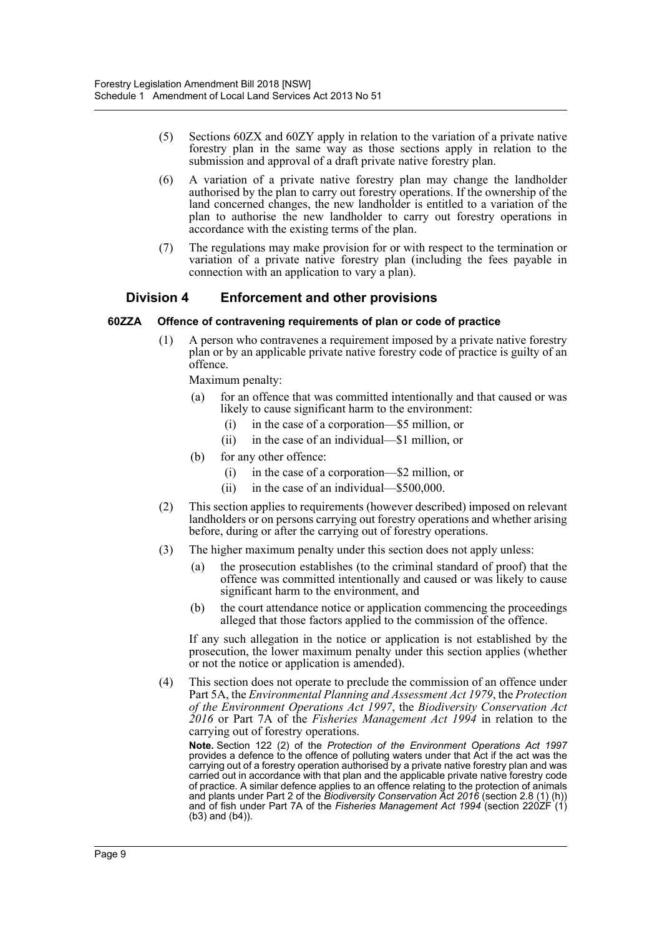- (5) Sections 60ZX and 60ZY apply in relation to the variation of a private native forestry plan in the same way as those sections apply in relation to the submission and approval of a draft private native forestry plan.
- (6) A variation of a private native forestry plan may change the landholder authorised by the plan to carry out forestry operations. If the ownership of the land concerned changes, the new landholder is entitled to a variation of the plan to authorise the new landholder to carry out forestry operations in accordance with the existing terms of the plan.
- (7) The regulations may make provision for or with respect to the termination or variation of a private native forestry plan (including the fees payable in connection with an application to vary a plan).

## **Division 4 Enforcement and other provisions**

## **60ZZA Offence of contravening requirements of plan or code of practice**

(1) A person who contravenes a requirement imposed by a private native forestry plan or by an applicable private native forestry code of practice is guilty of an offence.

Maximum penalty:

- (a) for an offence that was committed intentionally and that caused or was likely to cause significant harm to the environment:
	- (i) in the case of a corporation—\$5 million, or
	- (ii) in the case of an individual—\$1 million, or
- (b) for any other offence:
	- (i) in the case of a corporation—\$2 million, or
	- (ii) in the case of an individual—\$500,000.
- (2) This section applies to requirements (however described) imposed on relevant landholders or on persons carrying out forestry operations and whether arising before, during or after the carrying out of forestry operations.
- (3) The higher maximum penalty under this section does not apply unless:
	- (a) the prosecution establishes (to the criminal standard of proof) that the offence was committed intentionally and caused or was likely to cause significant harm to the environment, and
	- (b) the court attendance notice or application commencing the proceedings alleged that those factors applied to the commission of the offence.

If any such allegation in the notice or application is not established by the prosecution, the lower maximum penalty under this section applies (whether or not the notice or application is amended).

(4) This section does not operate to preclude the commission of an offence under Part 5A, the *Environmental Planning and Assessment Act 1979*, the *Protection of the Environment Operations Act 1997*, the *Biodiversity Conservation Act 2016* or Part 7A of the *Fisheries Management Act 1994* in relation to the carrying out of forestry operations.

**Note.** Section 122 (2) of the *Protection of the Environment Operations Act 1997* provides a defence to the offence of polluting waters under that Act if the act was the carrying out of a forestry operation authorised by a private native forestry plan and was carried out in accordance with that plan and the applicable private native forestry code of practice. A similar defence applies to an offence relating to the protection of animals and plants under Part 2 of the *Biodiversity Conservation Act 2016* (section 2.8 (1) (h)) and of fish under Part 7A of the Fisheries Management Act 1994 (section 220ZF (1) (b3) and (b4)).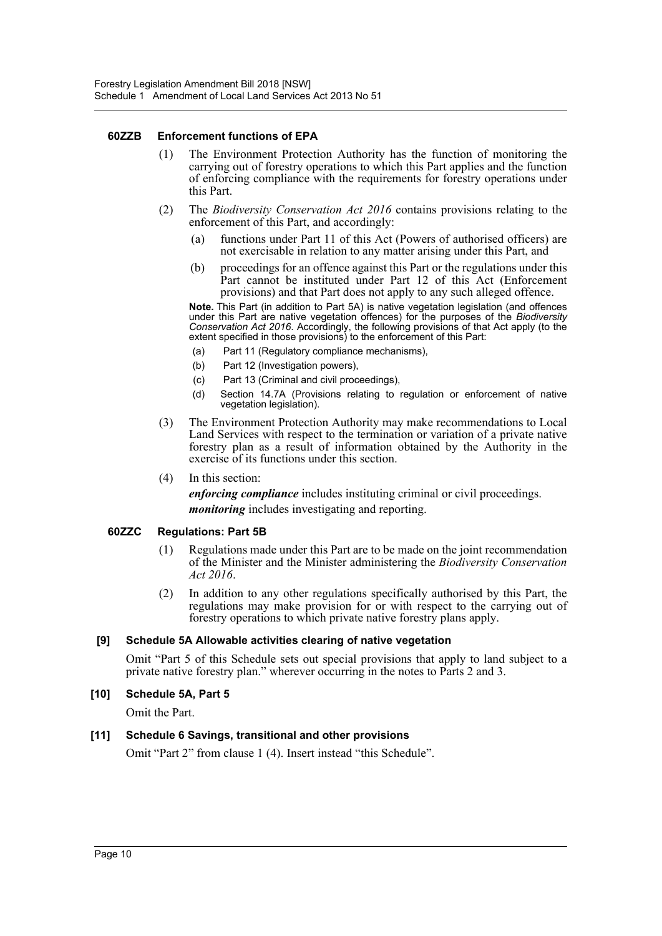## **60ZZB Enforcement functions of EPA**

- (1) The Environment Protection Authority has the function of monitoring the carrying out of forestry operations to which this Part applies and the function of enforcing compliance with the requirements for forestry operations under this Part.
- (2) The *Biodiversity Conservation Act 2016* contains provisions relating to the enforcement of this Part, and accordingly:
	- (a) functions under Part 11 of this Act (Powers of authorised officers) are not exercisable in relation to any matter arising under this Part, and
	- (b) proceedings for an offence against this Part or the regulations under this Part cannot be instituted under Part 12 of this Act (Enforcement provisions) and that Part does not apply to any such alleged offence.

**Note.** This Part (in addition to Part 5A) is native vegetation legislation (and offences under this Part are native vegetation offences) for the purposes of the *Biodiversity Conservation Act 2016*. Accordingly, the following provisions of that Act apply (to the extent specified in those provisions) to the enforcement of this Part:

- (a) Part 11 (Regulatory compliance mechanisms),
- (b) Part 12 (Investigation powers),
- (c) Part 13 (Criminal and civil proceedings),
- (d) Section 14.7A (Provisions relating to regulation or enforcement of native vegetation legislation).
- (3) The Environment Protection Authority may make recommendations to Local Land Services with respect to the termination or variation of a private native forestry plan as a result of information obtained by the Authority in the exercise of its functions under this section.
- (4) In this section:

*enforcing compliance* includes instituting criminal or civil proceedings. *monitoring* includes investigating and reporting.

## **60ZZC Regulations: Part 5B**

- (1) Regulations made under this Part are to be made on the joint recommendation of the Minister and the Minister administering the *Biodiversity Conservation Act 2016*.
- (2) In addition to any other regulations specifically authorised by this Part, the regulations may make provision for or with respect to the carrying out of forestry operations to which private native forestry plans apply.

## **[9] Schedule 5A Allowable activities clearing of native vegetation**

Omit "Part 5 of this Schedule sets out special provisions that apply to land subject to a private native forestry plan." wherever occurring in the notes to Parts 2 and 3.

## **[10] Schedule 5A, Part 5**

Omit the Part.

## **[11] Schedule 6 Savings, transitional and other provisions**

Omit "Part 2" from clause 1 (4). Insert instead "this Schedule".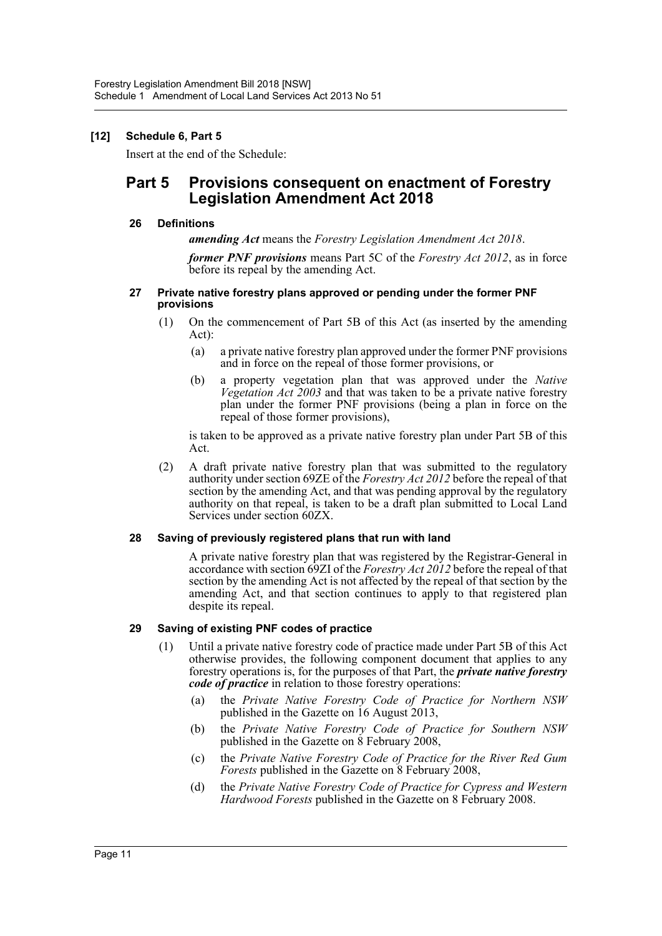## **[12] Schedule 6, Part 5**

Insert at the end of the Schedule:

# **Part 5 Provisions consequent on enactment of Forestry Legislation Amendment Act 2018**

## **26 Definitions**

*amending Act* means the *Forestry Legislation Amendment Act 2018*.

*former PNF provisions* means Part 5C of the *Forestry Act 2012*, as in force before its repeal by the amending Act.

#### **27 Private native forestry plans approved or pending under the former PNF provisions**

- (1) On the commencement of Part 5B of this Act (as inserted by the amending Act):
	- (a) a private native forestry plan approved under the former PNF provisions and in force on the repeal of those former provisions, or
	- (b) a property vegetation plan that was approved under the *Native Vegetation Act 2003* and that was taken to be a private native forestry plan under the former PNF provisions (being a plan in force on the repeal of those former provisions),

is taken to be approved as a private native forestry plan under Part 5B of this Act.

(2) A draft private native forestry plan that was submitted to the regulatory authority under section 69ZE of the *Forestry Act 2012* before the repeal of that section by the amending Act, and that was pending approval by the regulatory authority on that repeal, is taken to be a draft plan submitted to Local Land Services under section 60ZX.

## **28 Saving of previously registered plans that run with land**

A private native forestry plan that was registered by the Registrar-General in accordance with section 69ZI of the *Forestry Act 2012* before the repeal of that section by the amending Act is not affected by the repeal of that section by the amending Act, and that section continues to apply to that registered plan despite its repeal.

## **29 Saving of existing PNF codes of practice**

- (1) Until a private native forestry code of practice made under Part 5B of this Act otherwise provides, the following component document that applies to any forestry operations is, for the purposes of that Part, the *private native forestry code of practice* in relation to those forestry operations:
	- (a) the *Private Native Forestry Code of Practice for Northern NSW* published in the Gazette on 16 August 2013,
	- (b) the *Private Native Forestry Code of Practice for Southern NSW* published in the Gazette on 8 February 2008,
	- (c) the *Private Native Forestry Code of Practice for the River Red Gum Forests* published in the Gazette on 8 February 2008,
	- (d) the *Private Native Forestry Code of Practice for Cypress and Western Hardwood Forests* published in the Gazette on 8 February 2008.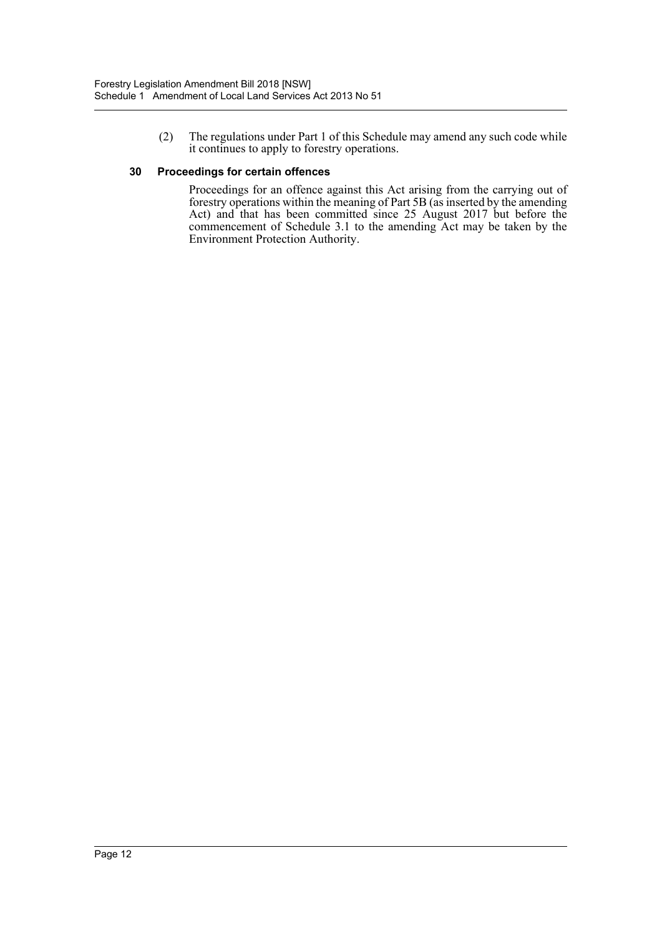(2) The regulations under Part 1 of this Schedule may amend any such code while it continues to apply to forestry operations.

## **30 Proceedings for certain offences**

Proceedings for an offence against this Act arising from the carrying out of forestry operations within the meaning of Part 5B (as inserted by the amending Act) and that has been committed since 25 August 2017 but before the commencement of Schedule 3.1 to the amending Act may be taken by the Environment Protection Authority.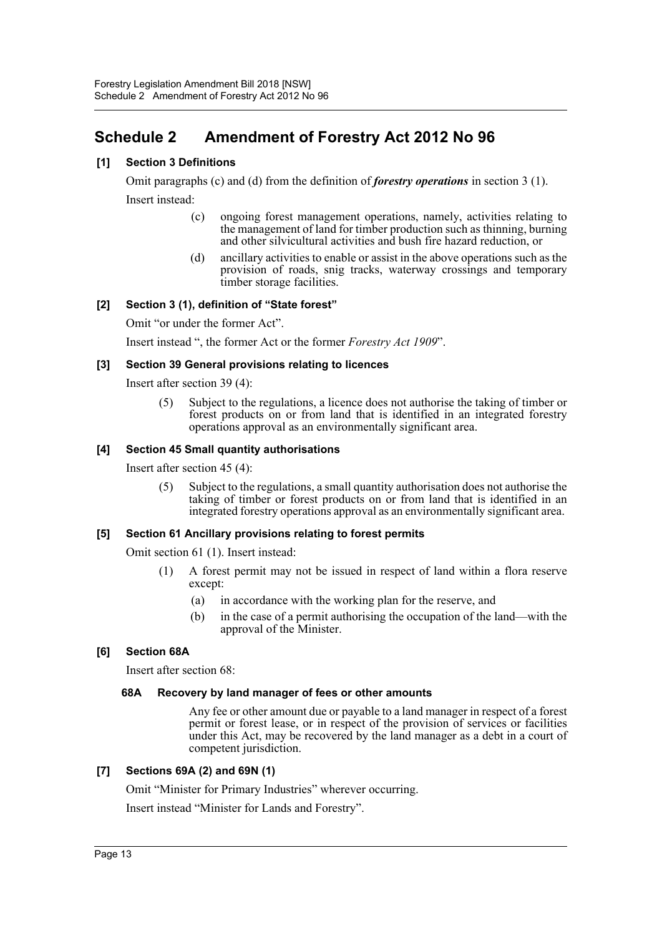# <span id="page-13-0"></span>**Schedule 2 Amendment of Forestry Act 2012 No 96**

## **[1] Section 3 Definitions**

Omit paragraphs (c) and (d) from the definition of *forestry operations* in section 3 (1). Insert instead:

- (c) ongoing forest management operations, namely, activities relating to the management of land for timber production such as thinning, burning and other silvicultural activities and bush fire hazard reduction, or
- (d) ancillary activities to enable or assist in the above operations such as the provision of roads, snig tracks, waterway crossings and temporary timber storage facilities.

## **[2] Section 3 (1), definition of "State forest"**

Omit "or under the former Act".

Insert instead ", the former Act or the former *Forestry Act 1909*".

## **[3] Section 39 General provisions relating to licences**

Insert after section 39 (4):

(5) Subject to the regulations, a licence does not authorise the taking of timber or forest products on or from land that is identified in an integrated forestry operations approval as an environmentally significant area.

## **[4] Section 45 Small quantity authorisations**

Insert after section 45 (4):

(5) Subject to the regulations, a small quantity authorisation does not authorise the taking of timber or forest products on or from land that is identified in an integrated forestry operations approval as an environmentally significant area.

## **[5] Section 61 Ancillary provisions relating to forest permits**

Omit section 61 (1). Insert instead:

- (1) A forest permit may not be issued in respect of land within a flora reserve except:
	- (a) in accordance with the working plan for the reserve, and
	- (b) in the case of a permit authorising the occupation of the land—with the approval of the Minister.

## **[6] Section 68A**

Insert after section 68:

## **68A Recovery by land manager of fees or other amounts**

Any fee or other amount due or payable to a land manager in respect of a forest permit or forest lease, or in respect of the provision of services or facilities under this Act, may be recovered by the land manager as a debt in a court of competent jurisdiction.

## **[7] Sections 69A (2) and 69N (1)**

Omit "Minister for Primary Industries" wherever occurring.

Insert instead "Minister for Lands and Forestry".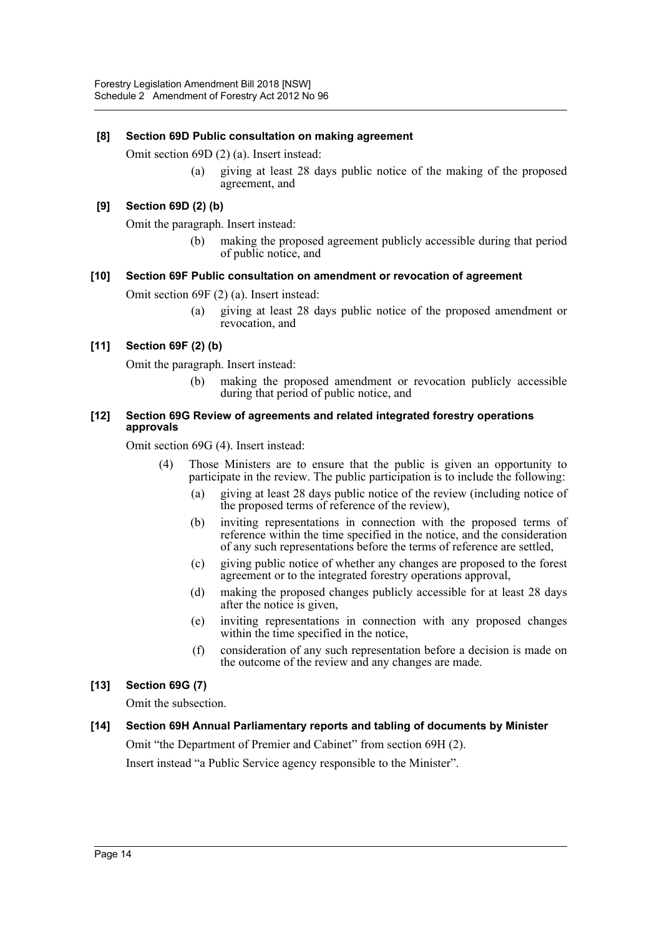## **[8] Section 69D Public consultation on making agreement**

Omit section 69D (2) (a). Insert instead:

(a) giving at least 28 days public notice of the making of the proposed agreement, and

## **[9] Section 69D (2) (b)**

Omit the paragraph. Insert instead:

(b) making the proposed agreement publicly accessible during that period of public notice, and

## **[10] Section 69F Public consultation on amendment or revocation of agreement**

Omit section 69F (2) (a). Insert instead:

(a) giving at least 28 days public notice of the proposed amendment or revocation, and

## **[11] Section 69F (2) (b)**

Omit the paragraph. Insert instead:

(b) making the proposed amendment or revocation publicly accessible during that period of public notice, and

#### **[12] Section 69G Review of agreements and related integrated forestry operations approvals**

Omit section 69G (4). Insert instead:

- (4) Those Ministers are to ensure that the public is given an opportunity to participate in the review. The public participation is to include the following:
	- (a) giving at least 28 days public notice of the review (including notice of the proposed terms of reference of the review),
	- (b) inviting representations in connection with the proposed terms of reference within the time specified in the notice, and the consideration of any such representations before the terms of reference are settled,
	- (c) giving public notice of whether any changes are proposed to the forest agreement or to the integrated forestry operations approval,
	- (d) making the proposed changes publicly accessible for at least 28 days after the notice is given,
	- (e) inviting representations in connection with any proposed changes within the time specified in the notice,
	- (f) consideration of any such representation before a decision is made on the outcome of the review and any changes are made.

## **[13] Section 69G (7)**

Omit the subsection.

**[14] Section 69H Annual Parliamentary reports and tabling of documents by Minister** Omit "the Department of Premier and Cabinet" from section 69H (2).

Insert instead "a Public Service agency responsible to the Minister".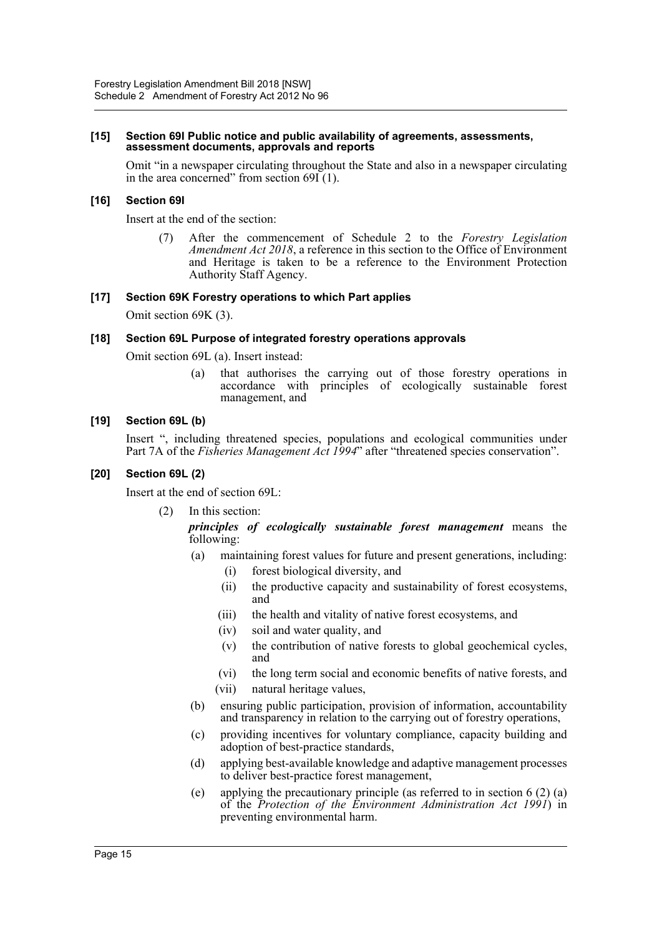#### **[15] Section 69I Public notice and public availability of agreements, assessments, assessment documents, approvals and reports**

Omit "in a newspaper circulating throughout the State and also in a newspaper circulating in the area concerned" from section  $69I(1)$ .

#### **[16] Section 69I**

Insert at the end of the section:

(7) After the commencement of Schedule 2 to the *Forestry Legislation Amendment Act 2018*, a reference in this section to the Office of Environment and Heritage is taken to be a reference to the Environment Protection Authority Staff Agency.

#### **[17] Section 69K Forestry operations to which Part applies**

Omit section 69K (3).

#### **[18] Section 69L Purpose of integrated forestry operations approvals**

Omit section 69L (a). Insert instead:

(a) that authorises the carrying out of those forestry operations in accordance with principles of ecologically sustainable forest management, and

#### **[19] Section 69L (b)**

Insert ", including threatened species, populations and ecological communities under Part 7A of the *Fisheries Management Act 1994*" after "threatened species conservation".

#### **[20] Section 69L (2)**

Insert at the end of section 69L:

(2) In this section:

*principles of ecologically sustainable forest management* means the following:

- (a) maintaining forest values for future and present generations, including:
	- (i) forest biological diversity, and
	- (ii) the productive capacity and sustainability of forest ecosystems, and
	- (iii) the health and vitality of native forest ecosystems, and
	- (iv) soil and water quality, and
	- (v) the contribution of native forests to global geochemical cycles, and
	- (vi) the long term social and economic benefits of native forests, and
	- (vii) natural heritage values,
- (b) ensuring public participation, provision of information, accountability and transparency in relation to the carrying out of forestry operations,
- (c) providing incentives for voluntary compliance, capacity building and adoption of best-practice standards,
- (d) applying best-available knowledge and adaptive management processes to deliver best-practice forest management,
- (e) applying the precautionary principle (as referred to in section 6 (2) (a) of the *Protection of the Environment Administration Act 1991*) in preventing environmental harm.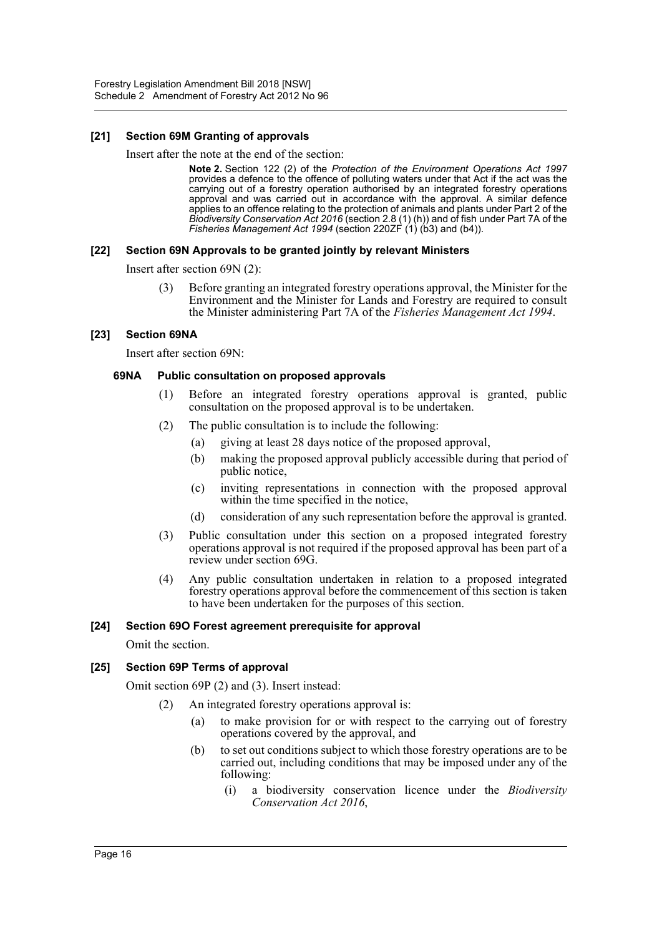## **[21] Section 69M Granting of approvals**

Insert after the note at the end of the section:

**Note 2.** Section 122 (2) of the *Protection of the Environment Operations Act 1997* provides a defence to the offence of polluting waters under that Act if the act was the carrying out of a forestry operation authorised by an integrated forestry operations approval and was carried out in accordance with the approval. A similar defence applies to an offence relating to the protection of animals and plants under Part 2 of the *Biodiversity Conservation Act 2016* (section 2.8 (1) (h)) and of fish under Part 7A of the *Fisheries Management Act 1994* (section 220ZF (1) (b3) and (b4)).

## **[22] Section 69N Approvals to be granted jointly by relevant Ministers**

Insert after section 69N (2):

(3) Before granting an integrated forestry operations approval, the Minister for the Environment and the Minister for Lands and Forestry are required to consult the Minister administering Part 7A of the *Fisheries Management Act 1994*.

## **[23] Section 69NA**

Insert after section 69N:

## **69NA Public consultation on proposed approvals**

- (1) Before an integrated forestry operations approval is granted, public consultation on the proposed approval is to be undertaken.
- (2) The public consultation is to include the following:
	- (a) giving at least 28 days notice of the proposed approval,
	- (b) making the proposed approval publicly accessible during that period of public notice,
	- (c) inviting representations in connection with the proposed approval within the time specified in the notice,
	- (d) consideration of any such representation before the approval is granted.
- (3) Public consultation under this section on a proposed integrated forestry operations approval is not required if the proposed approval has been part of a review under section 69G.
- (4) Any public consultation undertaken in relation to a proposed integrated forestry operations approval before the commencement of this section is taken to have been undertaken for the purposes of this section.

## **[24] Section 69O Forest agreement prerequisite for approval**

Omit the section.

## **[25] Section 69P Terms of approval**

Omit section 69P (2) and (3). Insert instead:

- (2) An integrated forestry operations approval is:
	- (a) to make provision for or with respect to the carrying out of forestry operations covered by the approval, and
	- (b) to set out conditions subject to which those forestry operations are to be carried out, including conditions that may be imposed under any of the following:
		- (i) a biodiversity conservation licence under the *Biodiversity Conservation Act 2016*,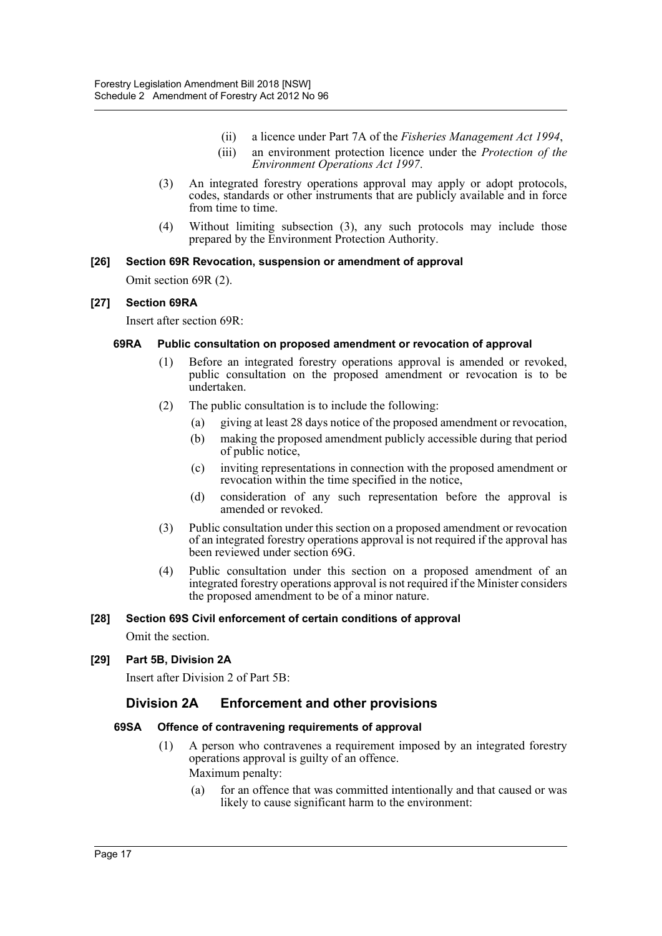- (ii) a licence under Part 7A of the *Fisheries Management Act 1994*,
- (iii) an environment protection licence under the *Protection of the Environment Operations Act 1997*.
- (3) An integrated forestry operations approval may apply or adopt protocols, codes, standards or other instruments that are publicly available and in force from time to time.
- (4) Without limiting subsection (3), any such protocols may include those prepared by the Environment Protection Authority.

## **[26] Section 69R Revocation, suspension or amendment of approval**

Omit section 69R (2).

## **[27] Section 69RA**

Insert after section 69R:

#### **69RA Public consultation on proposed amendment or revocation of approval**

- (1) Before an integrated forestry operations approval is amended or revoked, public consultation on the proposed amendment or revocation is to be undertaken.
- (2) The public consultation is to include the following:
	- (a) giving at least 28 days notice of the proposed amendment or revocation,
	- (b) making the proposed amendment publicly accessible during that period of public notice,
	- (c) inviting representations in connection with the proposed amendment or revocation within the time specified in the notice,
	- (d) consideration of any such representation before the approval is amended or revoked.
- (3) Public consultation under this section on a proposed amendment or revocation of an integrated forestry operations approval is not required if the approval has been reviewed under section 69G.
- (4) Public consultation under this section on a proposed amendment of an integrated forestry operations approval is not required if the Minister considers the proposed amendment to be of a minor nature.

## **[28] Section 69S Civil enforcement of certain conditions of approval**

Omit the section.

## **[29] Part 5B, Division 2A**

Insert after Division 2 of Part 5B:

## **Division 2A Enforcement and other provisions**

## **69SA Offence of contravening requirements of approval**

- (1) A person who contravenes a requirement imposed by an integrated forestry operations approval is guilty of an offence. Maximum penalty:
	- (a) for an offence that was committed intentionally and that caused or was likely to cause significant harm to the environment: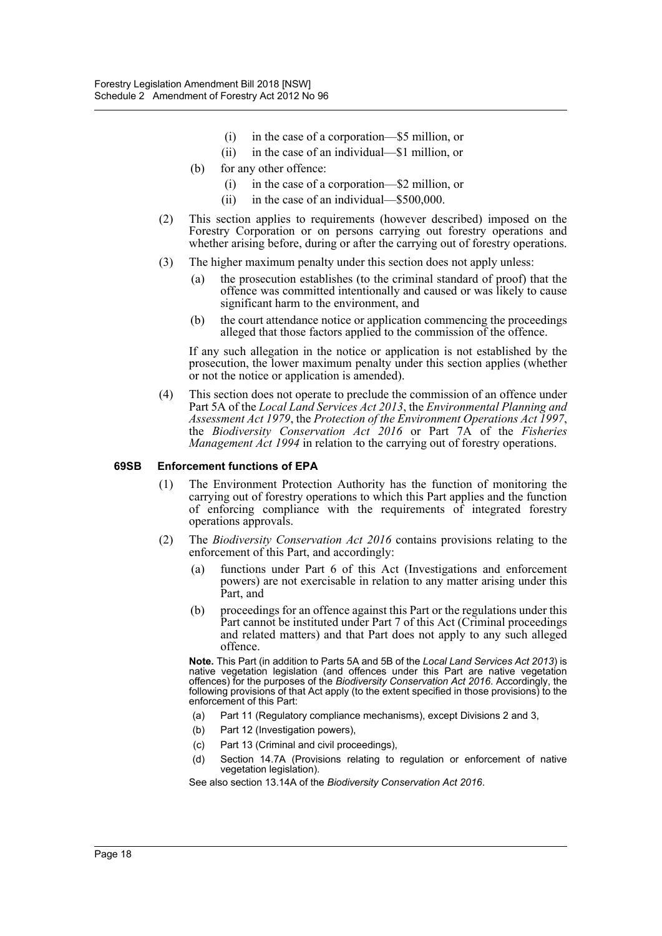- (i) in the case of a corporation—\$5 million, or
- (ii) in the case of an individual—\$1 million, or
- (b) for any other offence:
	- (i) in the case of a corporation—\$2 million, or
	- (ii) in the case of an individual—\$500,000.
- (2) This section applies to requirements (however described) imposed on the Forestry Corporation or on persons carrying out forestry operations and whether arising before, during or after the carrying out of forestry operations.
- (3) The higher maximum penalty under this section does not apply unless:
	- (a) the prosecution establishes (to the criminal standard of proof) that the offence was committed intentionally and caused or was likely to cause significant harm to the environment, and
	- (b) the court attendance notice or application commencing the proceedings alleged that those factors applied to the commission of the offence.

If any such allegation in the notice or application is not established by the prosecution, the lower maximum penalty under this section applies (whether or not the notice or application is amended).

(4) This section does not operate to preclude the commission of an offence under Part 5A of the *Local Land Services Act 2013*, the *Environmental Planning and Assessment Act 1979*, the *Protection of the Environment Operations Act 1997*, the *Biodiversity Conservation Act 2016* or Part 7A of the *Fisheries Management Act 1994* in relation to the carrying out of forestry operations.

#### **69SB Enforcement functions of EPA**

- (1) The Environment Protection Authority has the function of monitoring the carrying out of forestry operations to which this Part applies and the function of enforcing compliance with the requirements of integrated forestry operations approvals.
- (2) The *Biodiversity Conservation Act 2016* contains provisions relating to the enforcement of this Part, and accordingly:
	- (a) functions under Part 6 of this Act (Investigations and enforcement powers) are not exercisable in relation to any matter arising under this Part, and
	- (b) proceedings for an offence against this Part or the regulations under this Part cannot be instituted under Part 7 of this Act (Criminal proceedings and related matters) and that Part does not apply to any such alleged offence.

**Note.** This Part (in addition to Parts 5A and 5B of the *Local Land Services Act 2013*) is native vegetation legislation (and offences under this Part are native vegetation offences) for the purposes of the *Biodiversity Conservation Act 2016*. Accordingly, the following provisions of that Act apply (to the extent specified in those provisions) to the enforcement of this Part:

- (a) Part 11 (Regulatory compliance mechanisms), except Divisions 2 and 3,
- (b) Part 12 (Investigation powers),
- (c) Part 13 (Criminal and civil proceedings),
- (d) Section 14.7A (Provisions relating to regulation or enforcement of native vegetation legislation).

See also section 13.14A of the *Biodiversity Conservation Act 2016*.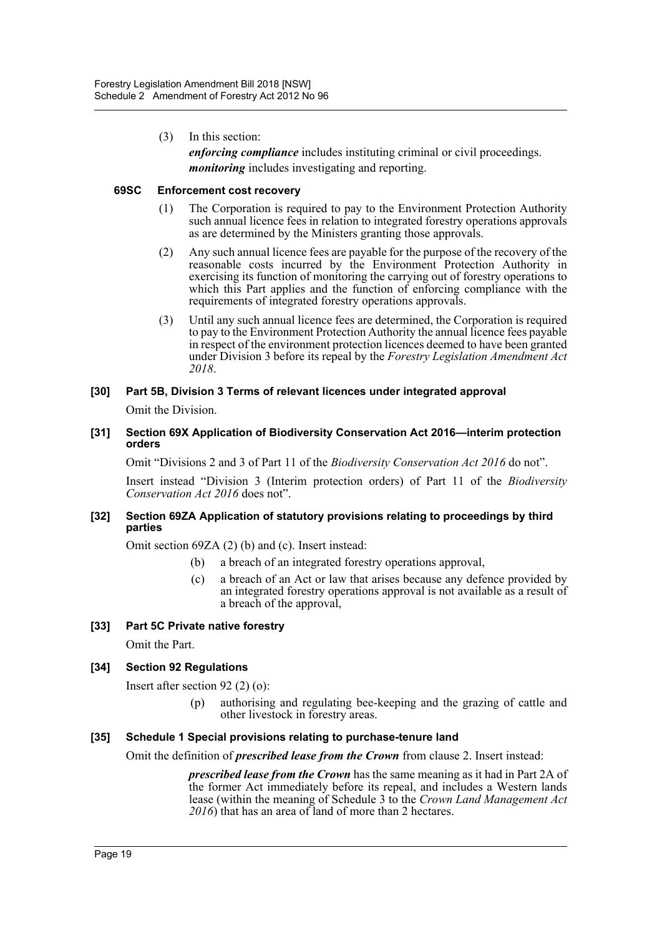(3) In this section:

*enforcing compliance* includes instituting criminal or civil proceedings. *monitoring* includes investigating and reporting.

## **69SC Enforcement cost recovery**

- (1) The Corporation is required to pay to the Environment Protection Authority such annual licence fees in relation to integrated forestry operations approvals as are determined by the Ministers granting those approvals.
- (2) Any such annual licence fees are payable for the purpose of the recovery of the reasonable costs incurred by the Environment Protection Authority in exercising its function of monitoring the carrying out of forestry operations to which this Part applies and the function of enforcing compliance with the requirements of integrated forestry operations approvals.
- (3) Until any such annual licence fees are determined, the Corporation is required to pay to the Environment Protection Authority the annual licence fees payable in respect of the environment protection licences deemed to have been granted under Division 3 before its repeal by the *Forestry Legislation Amendment Act 2018*.
- **[30] Part 5B, Division 3 Terms of relevant licences under integrated approval**

Omit the Division.

**[31] Section 69X Application of Biodiversity Conservation Act 2016—interim protection orders**

Omit "Divisions 2 and 3 of Part 11 of the *Biodiversity Conservation Act 2016* do not".

Insert instead "Division 3 (Interim protection orders) of Part 11 of the *Biodiversity Conservation Act 2016* does not".

## **[32] Section 69ZA Application of statutory provisions relating to proceedings by third parties**

Omit section 69ZA (2) (b) and (c). Insert instead:

- (b) a breach of an integrated forestry operations approval,
- (c) a breach of an Act or law that arises because any defence provided by an integrated forestry operations approval is not available as a result of a breach of the approval,

## **[33] Part 5C Private native forestry**

Omit the Part.

## **[34] Section 92 Regulations**

Insert after section 92 (2) (o):

(p) authorising and regulating bee-keeping and the grazing of cattle and other livestock in forestry areas.

## **[35] Schedule 1 Special provisions relating to purchase-tenure land**

Omit the definition of *prescribed lease from the Crown* from clause 2. Insert instead:

*prescribed lease from the Crown* has the same meaning as it had in Part 2A of the former Act immediately before its repeal, and includes a Western lands lease (within the meaning of Schedule 3 to the *Crown Land Management Act 2016*) that has an area of land of more than 2 hectares.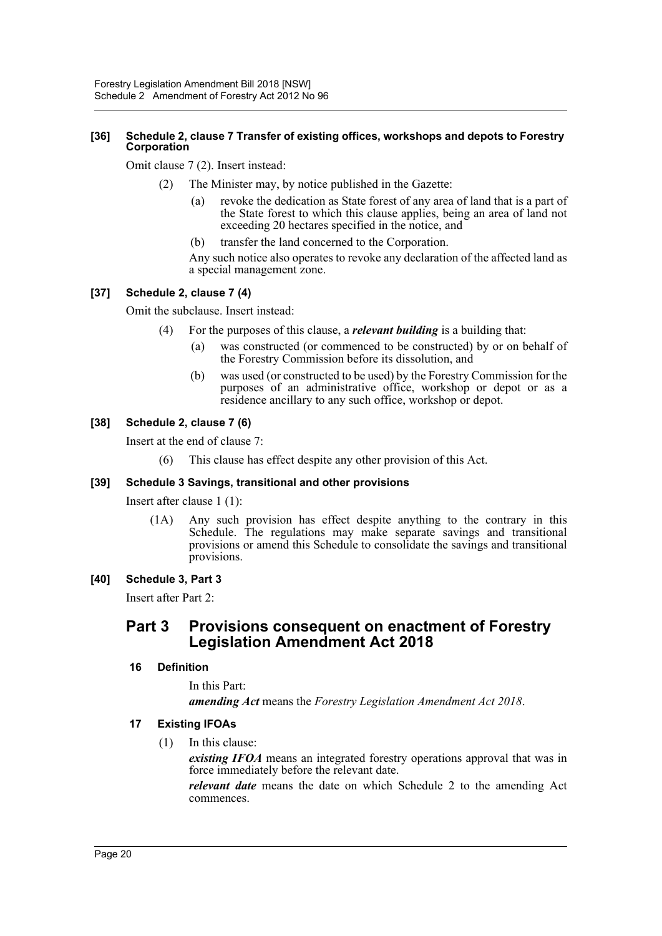## **[36] Schedule 2, clause 7 Transfer of existing offices, workshops and depots to Forestry Corporation**

Omit clause 7 (2). Insert instead:

- (2) The Minister may, by notice published in the Gazette:
	- (a) revoke the dedication as State forest of any area of land that is a part of the State forest to which this clause applies, being an area of land not exceeding 20 hectares specified in the notice, and
	- (b) transfer the land concerned to the Corporation.

Any such notice also operates to revoke any declaration of the affected land as a special management zone.

## **[37] Schedule 2, clause 7 (4)**

Omit the subclause. Insert instead:

- (4) For the purposes of this clause, a *relevant building* is a building that:
	- (a) was constructed (or commenced to be constructed) by or on behalf of the Forestry Commission before its dissolution, and
	- (b) was used (or constructed to be used) by the Forestry Commission for the purposes of an administrative office, workshop or depot or as a residence ancillary to any such office, workshop or depot.

## **[38] Schedule 2, clause 7 (6)**

Insert at the end of clause 7:

(6) This clause has effect despite any other provision of this Act.

## **[39] Schedule 3 Savings, transitional and other provisions**

Insert after clause 1 (1):

(1A) Any such provision has effect despite anything to the contrary in this Schedule. The regulations may make separate savings and transitional provisions or amend this Schedule to consolidate the savings and transitional provisions.

## **[40] Schedule 3, Part 3**

Insert after Part 2:

# **Part 3 Provisions consequent on enactment of Forestry Legislation Amendment Act 2018**

## **16 Definition**

In this Part: *amending Act* means the *Forestry Legislation Amendment Act 2018*.

## **17 Existing IFOAs**

(1) In this clause:

*existing IFOA* means an integrated forestry operations approval that was in force immediately before the relevant date.

*relevant date* means the date on which Schedule 2 to the amending Act commences.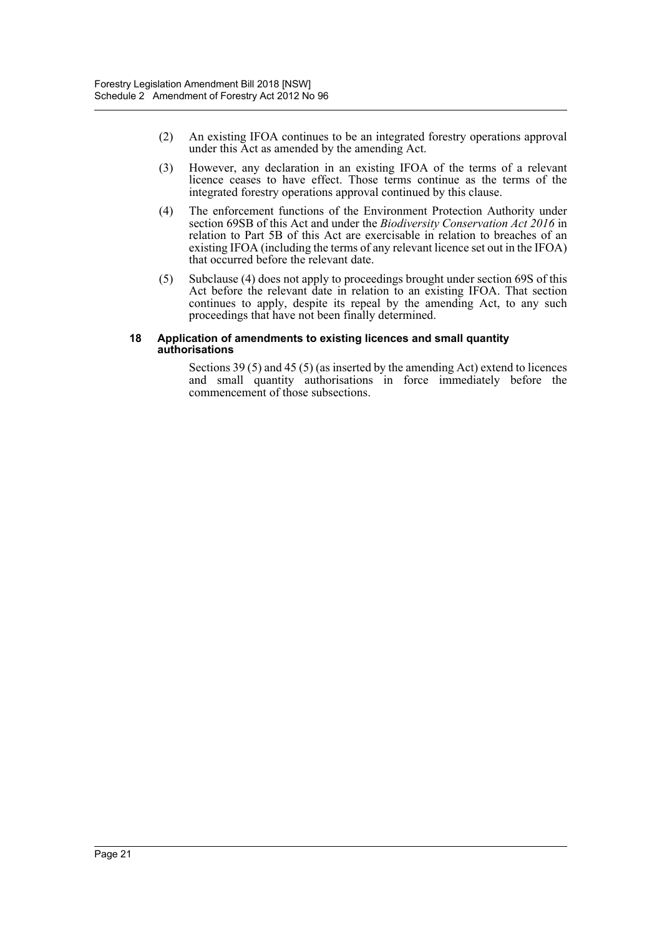- (2) An existing IFOA continues to be an integrated forestry operations approval under this Act as amended by the amending Act.
- (3) However, any declaration in an existing IFOA of the terms of a relevant licence ceases to have effect. Those terms continue as the terms of the integrated forestry operations approval continued by this clause.
- (4) The enforcement functions of the Environment Protection Authority under section 69SB of this Act and under the *Biodiversity Conservation Act 2016* in relation to Part 5B of this Act are exercisable in relation to breaches of an existing IFOA (including the terms of any relevant licence set out in the IFOA) that occurred before the relevant date.
- (5) Subclause (4) does not apply to proceedings brought under section 69S of this Act before the relevant date in relation to an existing IFOA. That section continues to apply, despite its repeal by the amending Act, to any such proceedings that have not been finally determined.

#### **18 Application of amendments to existing licences and small quantity authorisations**

Sections 39 (5) and 45 (5) (as inserted by the amending Act) extend to licences and small quantity authorisations in force immediately before the commencement of those subsections.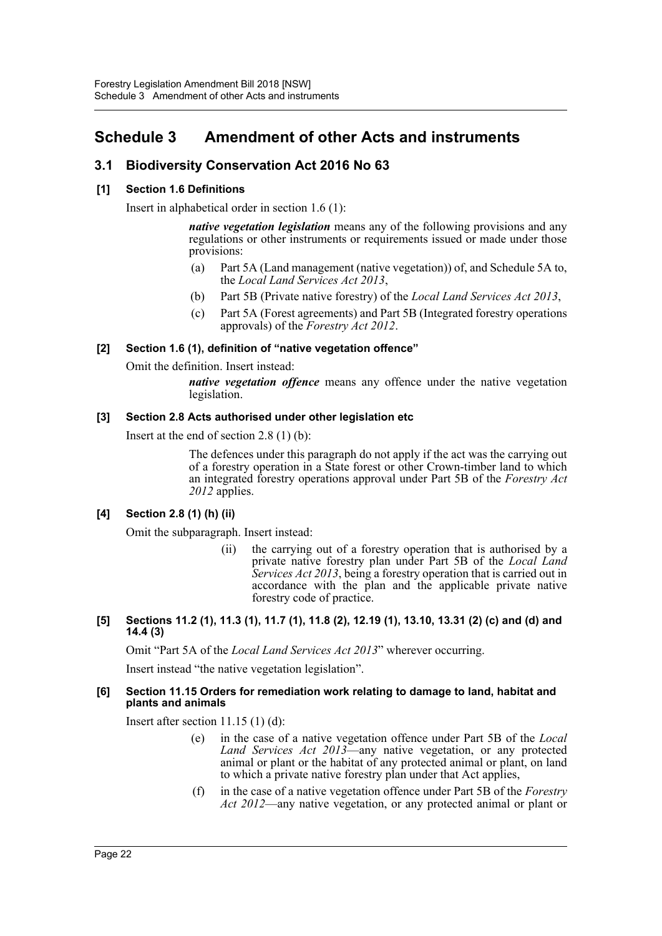# <span id="page-22-0"></span>**Schedule 3 Amendment of other Acts and instruments**

# **3.1 Biodiversity Conservation Act 2016 No 63**

## **[1] Section 1.6 Definitions**

Insert in alphabetical order in section 1.6 (1):

*native vegetation legislation* means any of the following provisions and any regulations or other instruments or requirements issued or made under those provisions:

- (a) Part 5A (Land management (native vegetation)) of, and Schedule 5A to, the *Local Land Services Act 2013*,
- (b) Part 5B (Private native forestry) of the *Local Land Services Act 2013*,
- (c) Part 5A (Forest agreements) and Part 5B (Integrated forestry operations approvals) of the *Forestry Act 2012*.

## **[2] Section 1.6 (1), definition of "native vegetation offence"**

Omit the definition. Insert instead:

*native vegetation offence* means any offence under the native vegetation legislation.

## **[3] Section 2.8 Acts authorised under other legislation etc**

Insert at the end of section 2.8 (1) (b):

The defences under this paragraph do not apply if the act was the carrying out of a forestry operation in a State forest or other Crown-timber land to which an integrated forestry operations approval under Part 5B of the *Forestry Act 2012* applies.

## **[4] Section 2.8 (1) (h) (ii)**

Omit the subparagraph. Insert instead:

(ii) the carrying out of a forestry operation that is authorised by a private native forestry plan under Part 5B of the *Local Land Services Act 2013*, being a forestry operation that is carried out in accordance with the plan and the applicable private native forestry code of practice.

#### **[5] Sections 11.2 (1), 11.3 (1), 11.7 (1), 11.8 (2), 12.19 (1), 13.10, 13.31 (2) (c) and (d) and 14.4 (3)**

Omit "Part 5A of the *Local Land Services Act 2013*" wherever occurring.

Insert instead "the native vegetation legislation".

#### **[6] Section 11.15 Orders for remediation work relating to damage to land, habitat and plants and animals**

Insert after section 11.15 (1) (d):

- (e) in the case of a native vegetation offence under Part 5B of the *Local Land Services Act 2013*—any native vegetation, or any protected animal or plant or the habitat of any protected animal or plant, on land to which a private native forestry plan under that Act applies,
- (f) in the case of a native vegetation offence under Part 5B of the *Forestry Act 2012*—any native vegetation, or any protected animal or plant or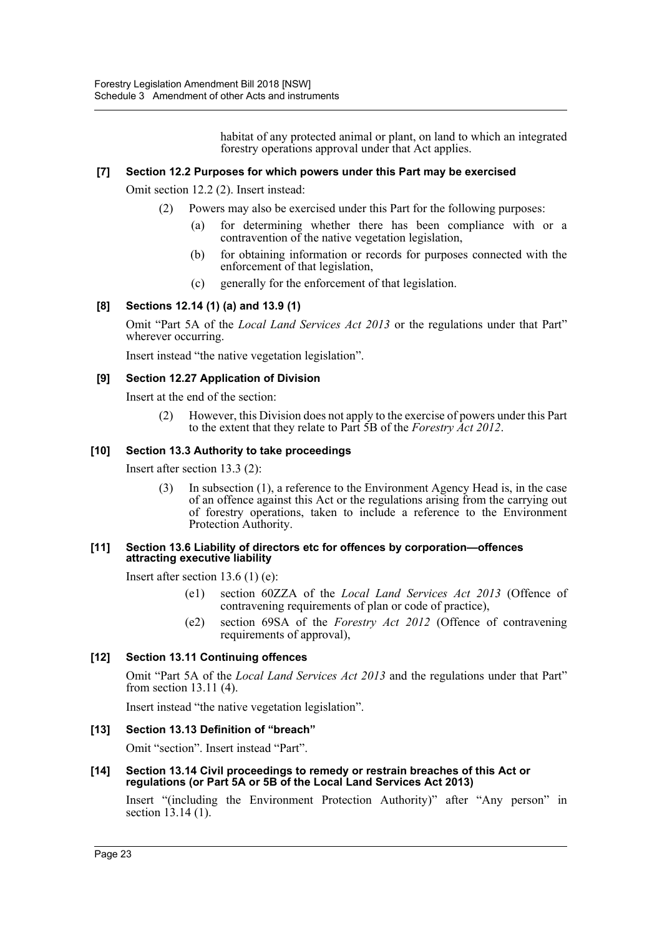habitat of any protected animal or plant, on land to which an integrated forestry operations approval under that Act applies.

## **[7] Section 12.2 Purposes for which powers under this Part may be exercised**

Omit section 12.2 (2). Insert instead:

- (2) Powers may also be exercised under this Part for the following purposes:
	- (a) for determining whether there has been compliance with or a contravention of the native vegetation legislation,
	- (b) for obtaining information or records for purposes connected with the enforcement of that legislation,
	- (c) generally for the enforcement of that legislation.

## **[8] Sections 12.14 (1) (a) and 13.9 (1)**

Omit "Part 5A of the *Local Land Services Act 2013* or the regulations under that Part" wherever occurring.

Insert instead "the native vegetation legislation".

## **[9] Section 12.27 Application of Division**

Insert at the end of the section:

(2) However, this Division does not apply to the exercise of powers under this Part to the extent that they relate to Part 5B of the *Forestry Act 2012*.

## **[10] Section 13.3 Authority to take proceedings**

Insert after section 13.3 (2):

(3) In subsection (1), a reference to the Environment Agency Head is, in the case of an offence against this Act or the regulations arising from the carrying out of forestry operations, taken to include a reference to the Environment Protection Authority.

#### **[11] Section 13.6 Liability of directors etc for offences by corporation—offences attracting executive liability**

Insert after section 13.6 (1) (e):

- (e1) section 60ZZA of the *Local Land Services Act 2013* (Offence of contravening requirements of plan or code of practice),
- (e2) section 69SA of the *Forestry Act 2012* (Offence of contravening requirements of approval),

## **[12] Section 13.11 Continuing offences**

Omit "Part 5A of the *Local Land Services Act 2013* and the regulations under that Part" from section 13.11 (4).

Insert instead "the native vegetation legislation".

## **[13] Section 13.13 Definition of "breach"**

Omit "section". Insert instead "Part".

**[14] Section 13.14 Civil proceedings to remedy or restrain breaches of this Act or regulations (or Part 5A or 5B of the Local Land Services Act 2013)**

Insert "(including the Environment Protection Authority)" after "Any person" in section 13.14 (1).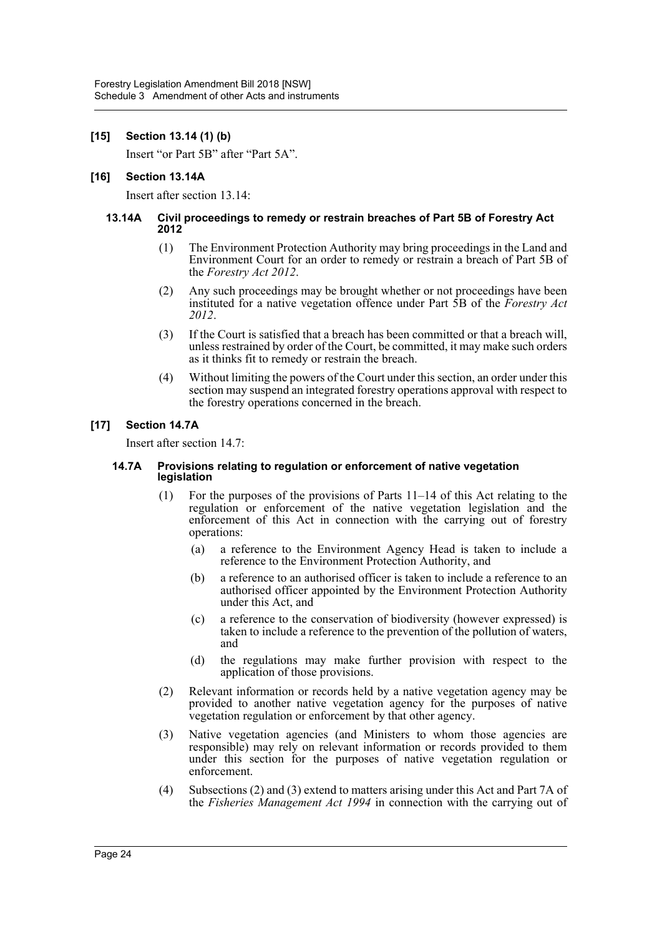## **[15] Section 13.14 (1) (b)**

Insert "or Part 5B" after "Part 5A".

#### **[16] Section 13.14A**

Insert after section 13.14:

#### **13.14A Civil proceedings to remedy or restrain breaches of Part 5B of Forestry Act 2012**

- (1) The Environment Protection Authority may bring proceedings in the Land and Environment Court for an order to remedy or restrain a breach of Part 5B of the *Forestry Act 2012*.
- (2) Any such proceedings may be brought whether or not proceedings have been instituted for a native vegetation offence under Part 5B of the *Forestry Act 2012*.
- (3) If the Court is satisfied that a breach has been committed or that a breach will, unless restrained by order of the Court, be committed, it may make such orders as it thinks fit to remedy or restrain the breach.
- (4) Without limiting the powers of the Court under this section, an order under this section may suspend an integrated forestry operations approval with respect to the forestry operations concerned in the breach.

## **[17] Section 14.7A**

Insert after section 14.7:

#### **14.7A Provisions relating to regulation or enforcement of native vegetation legislation**

- (1) For the purposes of the provisions of Parts 11–14 of this Act relating to the regulation or enforcement of the native vegetation legislation and the enforcement of this Act in connection with the carrying out of forestry operations:
	- (a) a reference to the Environment Agency Head is taken to include a reference to the Environment Protection Authority, and
	- (b) a reference to an authorised officer is taken to include a reference to an authorised officer appointed by the Environment Protection Authority under this Act, and
	- (c) a reference to the conservation of biodiversity (however expressed) is taken to include a reference to the prevention of the pollution of waters, and
	- (d) the regulations may make further provision with respect to the application of those provisions.
- (2) Relevant information or records held by a native vegetation agency may be provided to another native vegetation agency for the purposes of native vegetation regulation or enforcement by that other agency.
- (3) Native vegetation agencies (and Ministers to whom those agencies are responsible) may rely on relevant information or records provided to them under this section for the purposes of native vegetation regulation or enforcement.
- (4) Subsections (2) and (3) extend to matters arising under this Act and Part 7A of the *Fisheries Management Act 1994* in connection with the carrying out of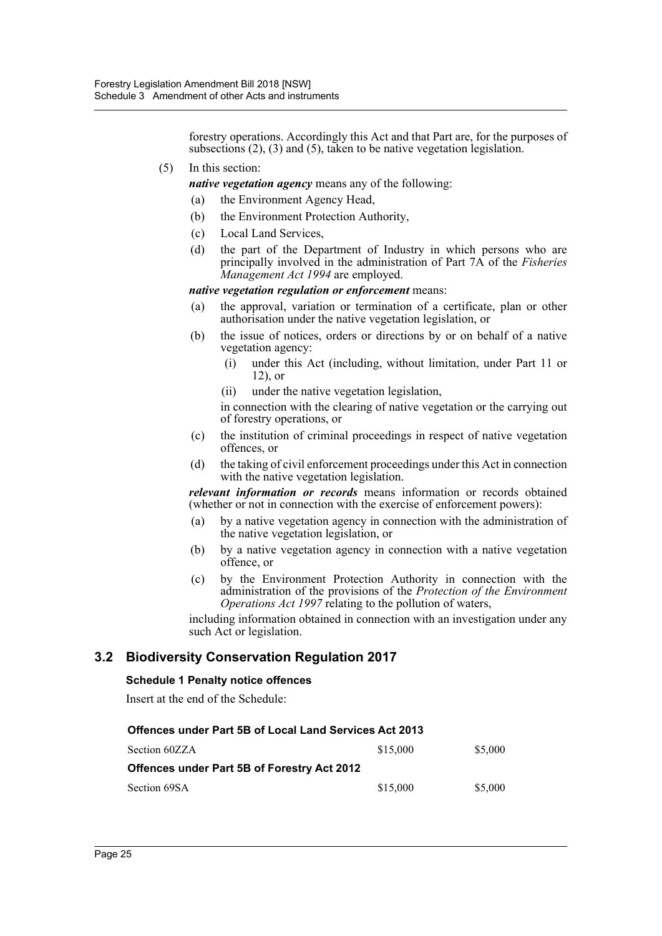forestry operations. Accordingly this Act and that Part are, for the purposes of subsections (2), (3) and (5), taken to be native vegetation legislation.

(5) In this section:

*native vegetation agency* means any of the following:

- (a) the Environment Agency Head,
- (b) the Environment Protection Authority,
- (c) Local Land Services,
- (d) the part of the Department of Industry in which persons who are principally involved in the administration of Part 7A of the *Fisheries Management Act 1994* are employed.

#### *native vegetation regulation or enforcement* means:

- (a) the approval, variation or termination of a certificate, plan or other authorisation under the native vegetation legislation, or
- (b) the issue of notices, orders or directions by or on behalf of a native vegetation agency:
	- (i) under this Act (including, without limitation, under Part 11 or 12), or
	- (ii) under the native vegetation legislation,

in connection with the clearing of native vegetation or the carrying out of forestry operations, or

- (c) the institution of criminal proceedings in respect of native vegetation offences, or
- (d) the taking of civil enforcement proceedings under this Act in connection with the native vegetation legislation.

*relevant information or records* means information or records obtained (whether or not in connection with the exercise of enforcement powers):

- (a) by a native vegetation agency in connection with the administration of the native vegetation legislation, or
- (b) by a native vegetation agency in connection with a native vegetation offence, or
- (c) by the Environment Protection Authority in connection with the administration of the provisions of the *Protection of the Environment Operations Act 1997* relating to the pollution of waters,

including information obtained in connection with an investigation under any such Act or legislation.

## **3.2 Biodiversity Conservation Regulation 2017**

## **Schedule 1 Penalty notice offences**

Insert at the end of the Schedule:

| <b>Offences under Part 5B of Local Land Services Act 2013</b> |          |         |  |  |  |
|---------------------------------------------------------------|----------|---------|--|--|--|
| Section 60ZZA                                                 | \$15,000 | \$5,000 |  |  |  |
| <b>Offences under Part 5B of Forestry Act 2012</b>            |          |         |  |  |  |
| Section 69SA                                                  | \$15,000 | \$5,000 |  |  |  |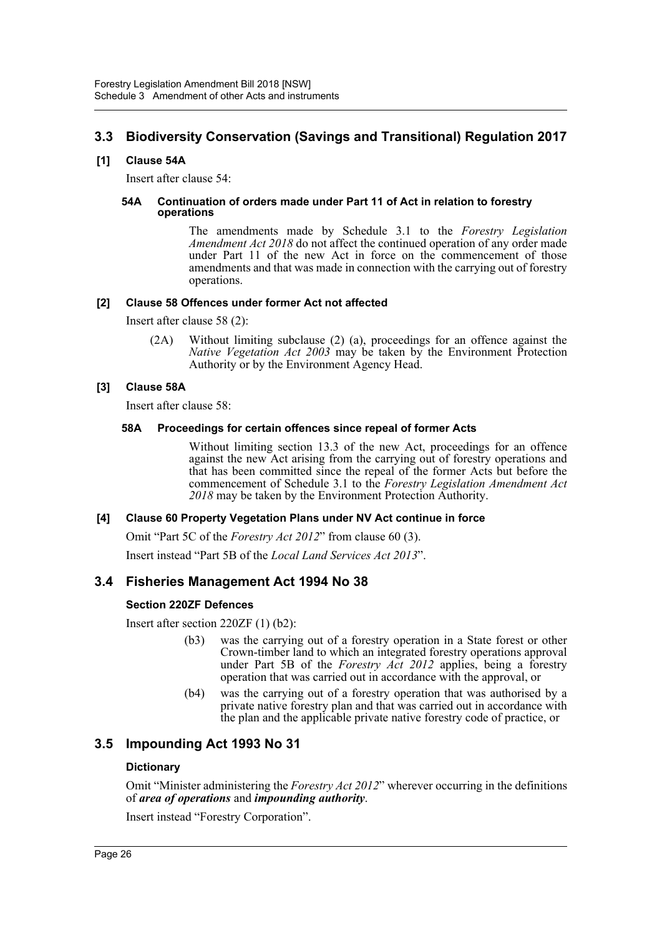# **3.3 Biodiversity Conservation (Savings and Transitional) Regulation 2017**

## **[1] Clause 54A**

Insert after clause 54:

#### **54A Continuation of orders made under Part 11 of Act in relation to forestry operations**

The amendments made by Schedule 3.1 to the *Forestry Legislation Amendment Act 2018* do not affect the continued operation of any order made under Part 11 of the new Act in force on the commencement of those amendments and that was made in connection with the carrying out of forestry operations.

## **[2] Clause 58 Offences under former Act not affected**

Insert after clause 58 (2):

(2A) Without limiting subclause (2) (a), proceedings for an offence against the *Native Vegetation Act 2003* may be taken by the Environment Protection Authority or by the Environment Agency Head.

## **[3] Clause 58A**

Insert after clause 58:

## **58A Proceedings for certain offences since repeal of former Acts**

Without limiting section 13.3 of the new Act, proceedings for an offence against the new Act arising from the carrying out of forestry operations and that has been committed since the repeal of the former Acts but before the commencement of Schedule 3.1 to the *Forestry Legislation Amendment Act 2018* may be taken by the Environment Protection Authority.

## **[4] Clause 60 Property Vegetation Plans under NV Act continue in force**

Omit "Part 5C of the *Forestry Act 2012*" from clause 60 (3). Insert instead "Part 5B of the *Local Land Services Act 2013*".

## **3.4 Fisheries Management Act 1994 No 38**

## **Section 220ZF Defences**

Insert after section 220ZF (1) (b2):

- (b3) was the carrying out of a forestry operation in a State forest or other Crown-timber land to which an integrated forestry operations approval under Part 5B of the *Forestry Act 2012* applies, being a forestry operation that was carried out in accordance with the approval, or
- (b4) was the carrying out of a forestry operation that was authorised by a private native forestry plan and that was carried out in accordance with the plan and the applicable private native forestry code of practice, or

## **3.5 Impounding Act 1993 No 31**

## **Dictionary**

Omit "Minister administering the *Forestry Act 2012*" wherever occurring in the definitions of *area of operations* and *impounding authority*.

Insert instead "Forestry Corporation".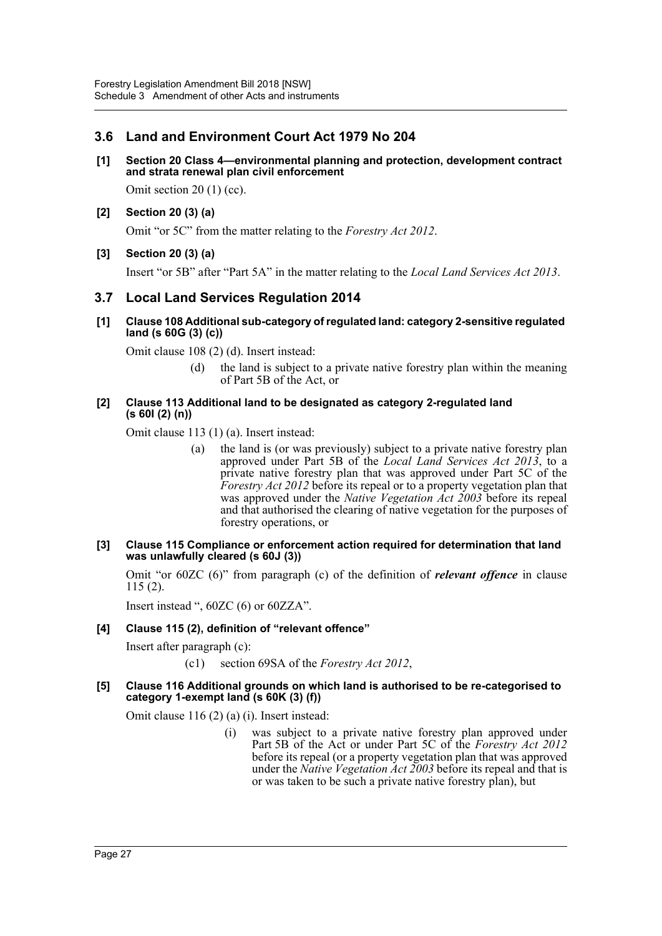# **3.6 Land and Environment Court Act 1979 No 204**

**[1] Section 20 Class 4—environmental planning and protection, development contract and strata renewal plan civil enforcement**

Omit section 20 (1) (cc).

**[2] Section 20 (3) (a)**

Omit "or 5C" from the matter relating to the *Forestry Act 2012*.

**[3] Section 20 (3) (a)**

Insert "or 5B" after "Part 5A" in the matter relating to the *Local Land Services Act 2013*.

## **3.7 Local Land Services Regulation 2014**

**[1] Clause 108 Additional sub-category of regulated land: category 2-sensitive regulated land (s 60G (3) (c))** 

Omit clause 108 (2) (d). Insert instead:

(d) the land is subject to a private native forestry plan within the meaning of Part 5B of the Act, or

#### **[2] Clause 113 Additional land to be designated as category 2-regulated land (s 60I (2) (n))**

Omit clause 113 (1) (a). Insert instead:

- (a) the land is (or was previously) subject to a private native forestry plan approved under Part 5B of the *Local Land Services Act 2013*, to a private native forestry plan that was approved under Part 5C of the *Forestry Act 2012* before its repeal or to a property vegetation plan that was approved under the *Native Vegetation Act 2003* before its repeal and that authorised the clearing of native vegetation for the purposes of forestry operations, or
- **[3] Clause 115 Compliance or enforcement action required for determination that land was unlawfully cleared (s 60J (3))**

Omit "or 60ZC (6)" from paragraph (c) of the definition of *relevant offence* in clause 115 (2).

Insert instead ", 60ZC (6) or 60ZZA".

## **[4] Clause 115 (2), definition of "relevant offence"**

Insert after paragraph (c):

(c1) section 69SA of the *Forestry Act 2012*,

#### **[5] Clause 116 Additional grounds on which land is authorised to be re-categorised to category 1-exempt land (s 60K (3) (f))**

Omit clause 116 (2) (a) (i). Insert instead:

(i) was subject to a private native forestry plan approved under Part 5B of the Act or under Part 5C of the *Forestry Act 2012* before its repeal (or a property vegetation plan that was approved under the *Native Vegetation Act 2003* before its repeal and that is or was taken to be such a private native forestry plan), but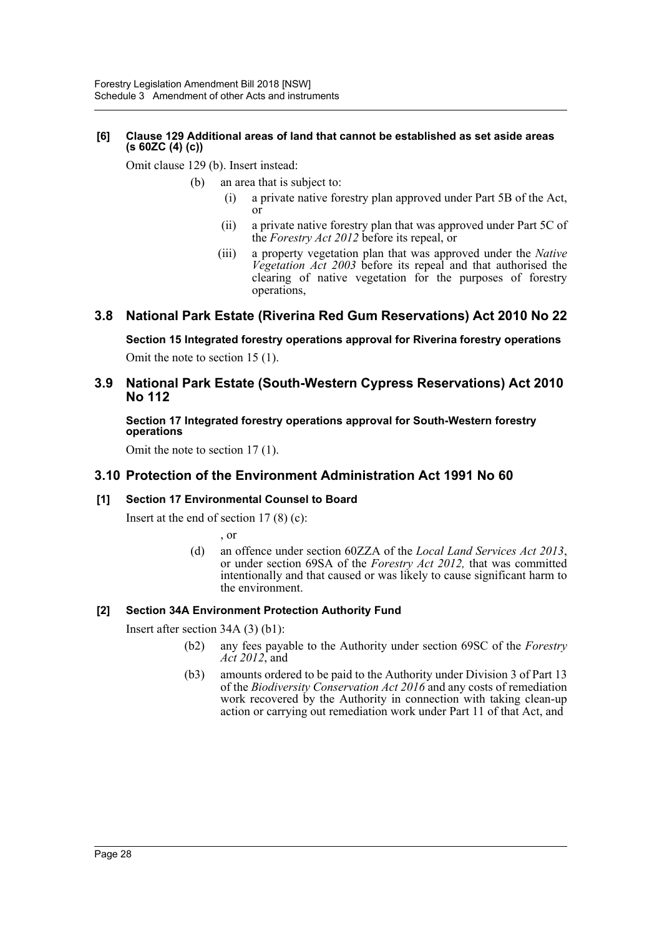## **[6] Clause 129 Additional areas of land that cannot be established as set aside areas (s 60ZC (4) (c))**

Omit clause 129 (b). Insert instead:

- (b) an area that is subject to:
	- (i) a private native forestry plan approved under Part 5B of the Act, or
	- (ii) a private native forestry plan that was approved under Part 5C of the *Forestry Act 2012* before its repeal, or
	- (iii) a property vegetation plan that was approved under the *Native Vegetation Act 2003* before its repeal and that authorised the clearing of native vegetation for the purposes of forestry operations,

## **3.8 National Park Estate (Riverina Red Gum Reservations) Act 2010 No 22**

**Section 15 Integrated forestry operations approval for Riverina forestry operations** Omit the note to section 15 (1).

## **3.9 National Park Estate (South-Western Cypress Reservations) Act 2010 No 112**

**Section 17 Integrated forestry operations approval for South-Western forestry operations**

Omit the note to section 17 (1).

## **3.10 Protection of the Environment Administration Act 1991 No 60**

## **[1] Section 17 Environmental Counsel to Board**

Insert at the end of section  $17(8)(c)$ :

, or

(d) an offence under section 60ZZA of the *Local Land Services Act 2013*, or under section 69SA of the *Forestry Act 2012,* that was committed intentionally and that caused or was likely to cause significant harm to the environment.

## **[2] Section 34A Environment Protection Authority Fund**

Insert after section 34A (3) (b1):

- (b2) any fees payable to the Authority under section 69SC of the *Forestry Act 2012*, and
- (b3) amounts ordered to be paid to the Authority under Division 3 of Part 13 of the *Biodiversity Conservation Act 2016* and any costs of remediation work recovered by the Authority in connection with taking clean-up action or carrying out remediation work under Part 11 of that Act, and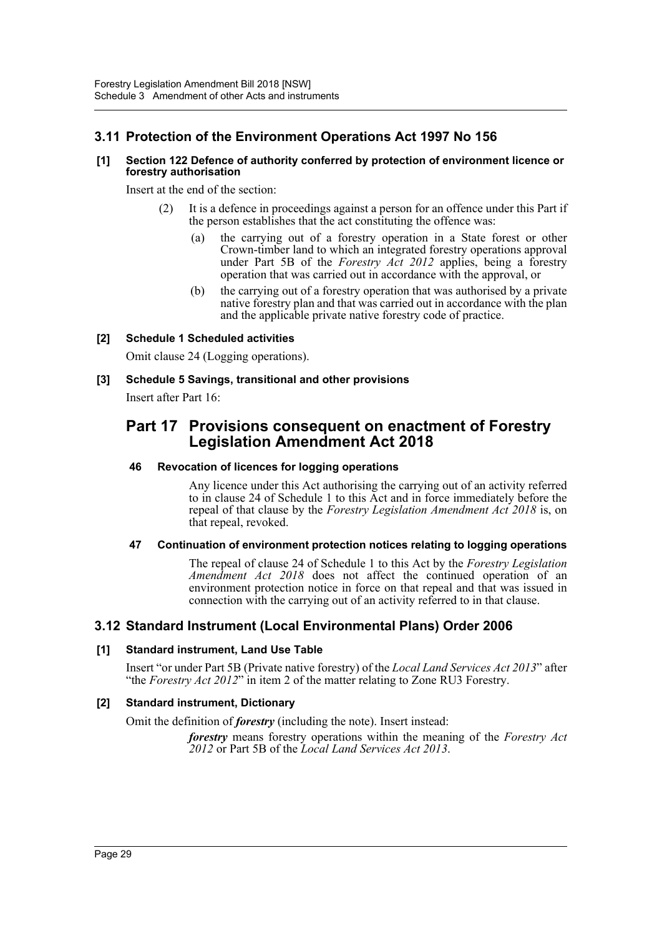# **3.11 Protection of the Environment Operations Act 1997 No 156**

## **[1] Section 122 Defence of authority conferred by protection of environment licence or forestry authorisation**

Insert at the end of the section:

- It is a defence in proceedings against a person for an offence under this Part if the person establishes that the act constituting the offence was:
	- (a) the carrying out of a forestry operation in a State forest or other Crown-timber land to which an integrated forestry operations approval under Part 5B of the *Forestry Act 2012* applies, being a forestry operation that was carried out in accordance with the approval, or
	- (b) the carrying out of a forestry operation that was authorised by a private native forestry plan and that was carried out in accordance with the plan and the applicable private native forestry code of practice.

## **[2] Schedule 1 Scheduled activities**

Omit clause 24 (Logging operations).

## **[3] Schedule 5 Savings, transitional and other provisions**

Insert after Part 16:

# **Part 17 Provisions consequent on enactment of Forestry Legislation Amendment Act 2018**

## **46 Revocation of licences for logging operations**

Any licence under this Act authorising the carrying out of an activity referred to in clause 24 of Schedule 1 to this Act and in force immediately before the repeal of that clause by the *Forestry Legislation Amendment Act 2018* is, on that repeal, revoked.

## **47 Continuation of environment protection notices relating to logging operations**

The repeal of clause 24 of Schedule 1 to this Act by the *Forestry Legislation Amendment Act 2018* does not affect the continued operation of an environment protection notice in force on that repeal and that was issued in connection with the carrying out of an activity referred to in that clause.

## **3.12 Standard Instrument (Local Environmental Plans) Order 2006**

## **[1] Standard instrument, Land Use Table**

Insert "or under Part 5B (Private native forestry) of the *Local Land Services Act 2013*" after "the *Forestry Act 2012*" in item 2 of the matter relating to Zone RU3 Forestry.

## **[2] Standard instrument, Dictionary**

Omit the definition of *forestry* (including the note). Insert instead:

*forestry* means forestry operations within the meaning of the *Forestry Act 2012* or Part 5B of the *Local Land Services Act 2013*.